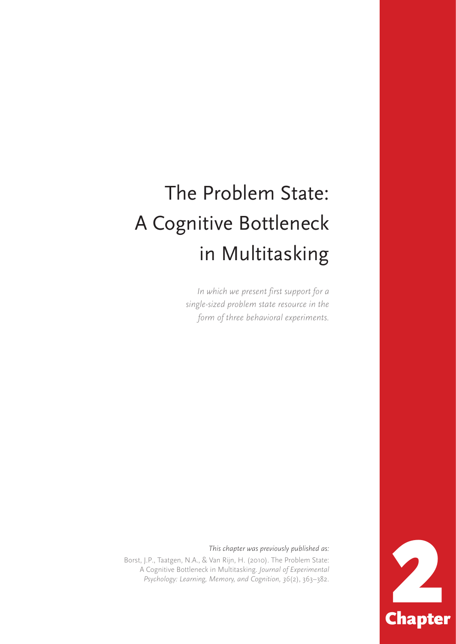# The Problem State: A Cognitive Bottleneck in Multitasking

*In which we present first support for a single-sized problem state resource in the form of three behavioral experiments.*

*This chapter was previously published as:*

Borst, J.P., Taatgen, N.A., & Van Rijn, H. (2010). The Problem State: A Cognitive Bottleneck in Multitasking. *Journal of Experimental Psychology: Learning, Memory, and Cognition, 36*(2), 363–382.

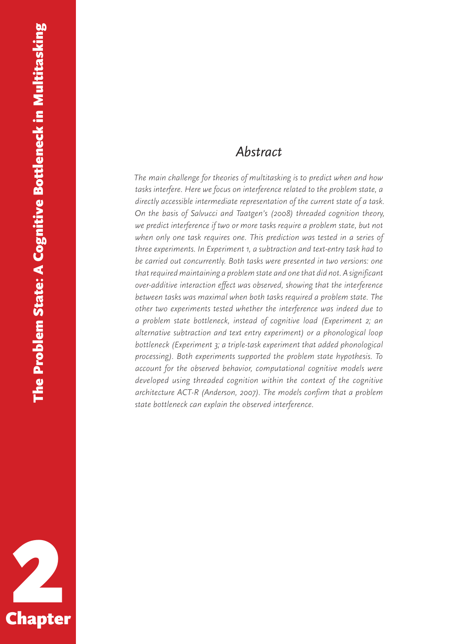# *Abstract*

*The main challenge for theories of multitasking is to predict when and how tasks interfere. Here we focus on interference related to the problem state, a directly accessible intermediate representation of the current state of a task. On the basis of Salvucci and Taatgen's (2008) threaded cognition theory, we predict interference if two or more tasks require a problem state, but not when only one task requires one. This prediction was tested in a series of three experiments. In Experiment 1, a subtraction and text-entry task had to be carried out concurrently. Both tasks were presented in two versions: one that required maintaining a problem state and one that did not. A significant over-additive interaction effect was observed, showing that the interference between tasks was maximal when both tasks required a problem state. The other two experiments tested whether the interference was indeed due to a problem state bottleneck, instead of cognitive load (Experiment 2; an alternative subtraction and text entry experiment) or a phonological loop bottleneck (Experiment 3; a triple-task experiment that added phonological processing). Both experiments supported the problem state hypothesis. To account for the observed behavior, computational cognitive models were developed using threaded cognition within the context of the cognitive architecture ACT-R (Anderson, 2007). The models confirm that a problem state bottleneck can explain the observed interference.*

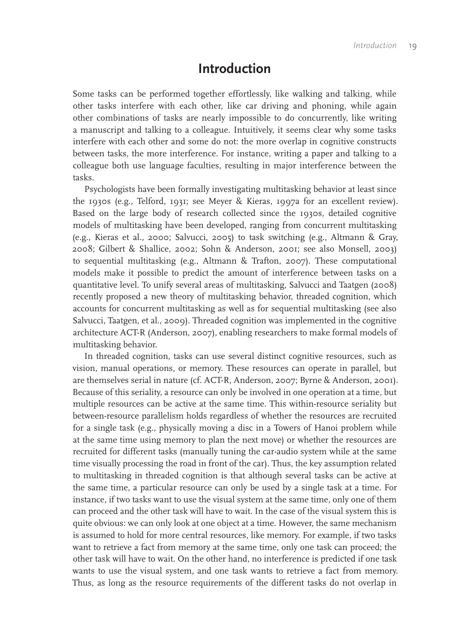# **Introduction**

Some tasks can be performed together effortlessly, like walking and talking, while other tasks interfere with each other, like car driving and phoning, while again other combinations of tasks are nearly impossible to do concurrently, like writing a manuscript and talking to a colleague. Intuitively, it seems clear why some tasks interfere with each other and some do not: the more overlap in cognitive constructs between tasks, the more interference. For instance, writing a paper and talking to a colleague both use language faculties, resulting in major interference between the tasks.

Psychologists have been formally investigating multitasking behavior at least since the 1930s (e.g., Telford, 1931; see Meyer & Kieras, 1997a for an excellent review). Based on the large body of research collected since the 1930s, detailed cognitive models of multitasking have been developed, ranging from concurrent multitasking (e.g., Kieras et al., 2000; Salvucci, 2005) to task switching (e.g., Altmann & Gray, 2008; Gilbert & Shallice, 2002; Sohn & Anderson, 2001; see also Monsell, 2003) to sequential multitasking (e.g., Altmann & Trafton, 2007). These computational models make it possible to predict the amount of interference between tasks on a quantitative level. To unify several areas of multitasking, Salvucci and Taatgen (2008) recently proposed a new theory of multitasking behavior, threaded cognition, which accounts for concurrent multitasking as well as for sequential multitasking (see also Salvucci, Taatgen, et al., 2009). Threaded cognition was implemented in the cognitive architecture ACT-R (Anderson, 2007), enabling researchers to make formal models of multitasking behavior.

In threaded cognition, tasks can use several distinct cognitive resources, such as vision, manual operations, or memory. These resources can operate in parallel, but are themselves serial in nature (cf. ACT-R, Anderson, 2007; Byrne & Anderson, 2001). Because of this seriality, a resource can only be involved in one operation at a time, but multiple resources can be active at the same time. This within-resource seriality but between-resource parallelism holds regardless of whether the resources are recruited for a single task (e.g., physically moving a disc in a Towers of Hanoi problem while at the same time using memory to plan the next move) or whether the resources are recruited for different tasks (manually tuning the car-audio system while at the same time visually processing the road in front of the car). Thus, the key assumption related to multitasking in threaded cognition is that although several tasks can be active at the same time, a particular resource can only be used by a single task at a time. For instance, if two tasks want to use the visual system at the same time, only one of them can proceed and the other task will have to wait. In the case of the visual system this is quite obvious: we can only look at one object at a time. However, the same mechanism is assumed to hold for more central resources, like memory. For example, if two tasks want to retrieve a fact from memory at the same time, only one task can proceed; the other task will have to wait. On the other hand, no interference is predicted if one task wants to use the visual system, and one task wants to retrieve a fact from memory. Thus, as long as the resource requirements of the different tasks do not overlap in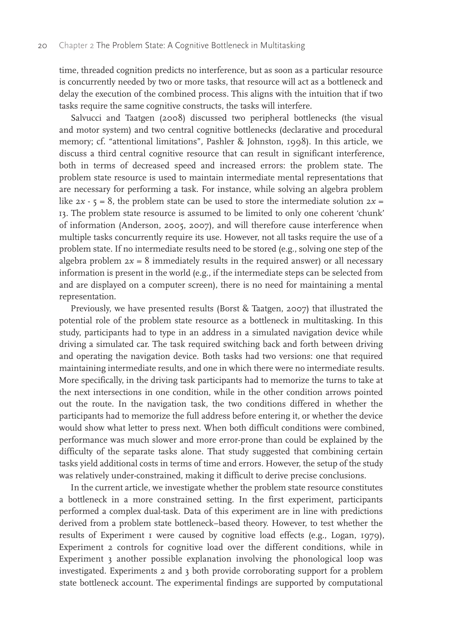time, threaded cognition predicts no interference, but as soon as a particular resource is concurrently needed by two or more tasks, that resource will act as a bottleneck and delay the execution of the combined process. This aligns with the intuition that if two tasks require the same cognitive constructs, the tasks will interfere.

Salvucci and Taatgen (2008) discussed two peripheral bottlenecks (the visual and motor system) and two central cognitive bottlenecks (declarative and procedural memory; cf. "attentional limitations", Pashler & Johnston, 1998). In this article, we discuss a third central cognitive resource that can result in significant interference, both in terms of decreased speed and increased errors: the problem state. The problem state resource is used to maintain intermediate mental representations that are necessary for performing a task. For instance, while solving an algebra problem like  $2x - 5 = 8$ , the problem state can be used to store the intermediate solution  $2x =$ 13. The problem state resource is assumed to be limited to only one coherent 'chunk' of information (Anderson, 2005, 2007), and will therefore cause interference when multiple tasks concurrently require its use. However, not all tasks require the use of a problem state. If no intermediate results need to be stored (e.g., solving one step of the algebra problem  $2x = 8$  immediately results in the required answer) or all necessary information is present in the world (e.g., if the intermediate steps can be selected from and are displayed on a computer screen), there is no need for maintaining a mental representation.

Previously, we have presented results (Borst & Taatgen, 2007) that illustrated the potential role of the problem state resource as a bottleneck in multitasking. In this study, participants had to type in an address in a simulated navigation device while driving a simulated car. The task required switching back and forth between driving and operating the navigation device. Both tasks had two versions: one that required maintaining intermediate results, and one in which there were no intermediate results. More specifically, in the driving task participants had to memorize the turns to take at the next intersections in one condition, while in the other condition arrows pointed out the route. In the navigation task, the two conditions differed in whether the participants had to memorize the full address before entering it, or whether the device would show what letter to press next. When both difficult conditions were combined, performance was much slower and more error-prone than could be explained by the difficulty of the separate tasks alone. That study suggested that combining certain tasks yield additional costs in terms of time and errors. However, the setup of the study was relatively under-constrained, making it difficult to derive precise conclusions.

In the current article, we investigate whether the problem state resource constitutes a bottleneck in a more constrained setting. In the first experiment, participants performed a complex dual-task. Data of this experiment are in line with predictions derived from a problem state bottleneck–based theory. However, to test whether the results of Experiment 1 were caused by cognitive load effects (e.g., Logan, 1979), Experiment 2 controls for cognitive load over the different conditions, while in Experiment 3 another possible explanation involving the phonological loop was investigated. Experiments 2 and 3 both provide corroborating support for a problem state bottleneck account. The experimental findings are supported by computational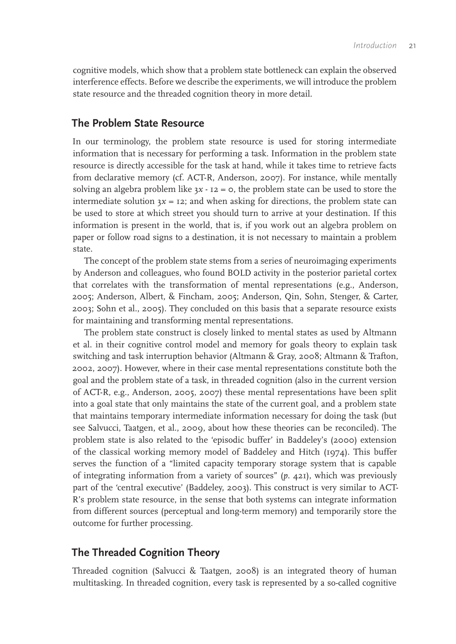cognitive models, which show that a problem state bottleneck can explain the observed interference effects. Before we describe the experiments, we will introduce the problem state resource and the threaded cognition theory in more detail.

## **The Problem State Resource**

In our terminology, the problem state resource is used for storing intermediate information that is necessary for performing a task. Information in the problem state resource is directly accessible for the task at hand, while it takes time to retrieve facts from declarative memory (cf. ACT-R, Anderson, 2007). For instance, while mentally solving an algebra problem like  $3x - 12 = 0$ , the problem state can be used to store the intermediate solution  $3x = 12$ ; and when asking for directions, the problem state can be used to store at which street you should turn to arrive at your destination. If this information is present in the world, that is, if you work out an algebra problem on paper or follow road signs to a destination, it is not necessary to maintain a problem state.

The concept of the problem state stems from a series of neuroimaging experiments by Anderson and colleagues, who found BOLD activity in the posterior parietal cortex that correlates with the transformation of mental representations (e.g., Anderson, 2005; Anderson, Albert, & Fincham, 2005; Anderson, Qin, Sohn, Stenger, & Carter, 2003; Sohn et al., 2005). They concluded on this basis that a separate resource exists for maintaining and transforming mental representations.

The problem state construct is closely linked to mental states as used by Altmann et al. in their cognitive control model and memory for goals theory to explain task switching and task interruption behavior (Altmann & Gray, 2008; Altmann & Trafton, 2002, 2007). However, where in their case mental representations constitute both the goal and the problem state of a task, in threaded cognition (also in the current version of ACT-R, e.g., Anderson, 2005, 2007) these mental representations have been split into a goal state that only maintains the state of the current goal, and a problem state that maintains temporary intermediate information necessary for doing the task (but see Salvucci, Taatgen, et al., 2009, about how these theories can be reconciled). The problem state is also related to the 'episodic buffer' in Baddeley's (2000) extension of the classical working memory model of Baddeley and Hitch (1974). This buffer serves the function of a "limited capacity temporary storage system that is capable of integrating information from a variety of sources" (*p*. 421), which was previously part of the 'central executive' (Baddeley, 2003). This construct is very similar to ACT-R's problem state resource, in the sense that both systems can integrate information from different sources (perceptual and long-term memory) and temporarily store the outcome for further processing.

# **The Threaded Cognition Theory**

Threaded cognition (Salvucci & Taatgen, 2008) is an integrated theory of human multitasking. In threaded cognition, every task is represented by a so-called cognitive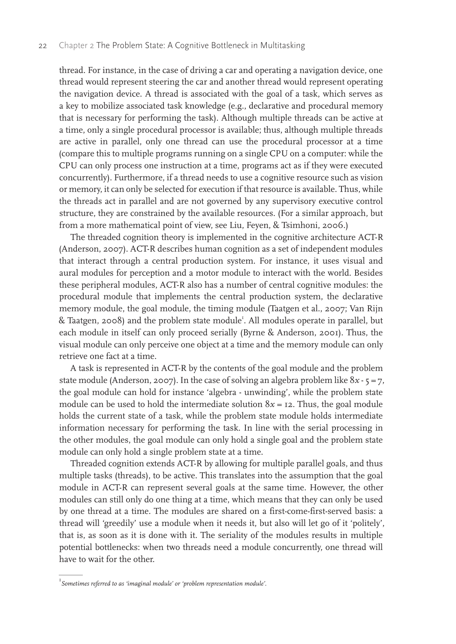thread. For instance, in the case of driving a car and operating a navigation device, one thread would represent steering the car and another thread would represent operating the navigation device. A thread is associated with the goal of a task, which serves as a key to mobilize associated task knowledge (e.g., declarative and procedural memory that is necessary for performing the task). Although multiple threads can be active at a time, only a single procedural processor is available; thus, although multiple threads are active in parallel, only one thread can use the procedural processor at a time (compare this to multiple programs running on a single CPU on a computer: while the CPU can only process one instruction at a time, programs act as if they were executed concurrently). Furthermore, if a thread needs to use a cognitive resource such as vision or memory, it can only be selected for execution if that resource is available. Thus, while the threads act in parallel and are not governed by any supervisory executive control structure, they are constrained by the available resources. (For a similar approach, but from a more mathematical point of view, see Liu, Feyen, & Tsimhoni, 2006.)

The threaded cognition theory is implemented in the cognitive architecture ACT-R (Anderson, 2007). ACT-R describes human cognition as a set of independent modules that interact through a central production system. For instance, it uses visual and aural modules for perception and a motor module to interact with the world. Besides these peripheral modules, ACT-R also has a number of central cognitive modules: the procedural module that implements the central production system, the declarative memory module, the goal module, the timing module (Taatgen et al., 2007; Van Rijn & Taatgen, 2008) and the problem state module<sup>1</sup>. All modules operate in parallel, but each module in itself can only proceed serially (Byrne & Anderson, 2001). Thus, the visual module can only perceive one object at a time and the memory module can only retrieve one fact at a time.

A task is represented in ACT-R by the contents of the goal module and the problem state module (Anderson, 2007). In the case of solving an algebra problem like  $8x - 5 = 7$ , the goal module can hold for instance 'algebra - unwinding', while the problem state module can be used to hold the intermediate solution  $8x = \text{I2}$ . Thus, the goal module holds the current state of a task, while the problem state module holds intermediate information necessary for performing the task. In line with the serial processing in the other modules, the goal module can only hold a single goal and the problem state module can only hold a single problem state at a time.

Threaded cognition extends ACT-R by allowing for multiple parallel goals, and thus multiple tasks (threads), to be active. This translates into the assumption that the goal module in ACT-R can represent several goals at the same time. However, the other modules can still only do one thing at a time, which means that they can only be used by one thread at a time. The modules are shared on a first-come-first-served basis: a thread will 'greedily' use a module when it needs it, but also will let go of it 'politely', that is, as soon as it is done with it. The seriality of the modules results in multiple potential bottlenecks: when two threads need a module concurrently, one thread will have to wait for the other.

<sup>&</sup>lt;sup>1</sup> Sometimes referred to as 'imaginal module' or 'problem representation module'.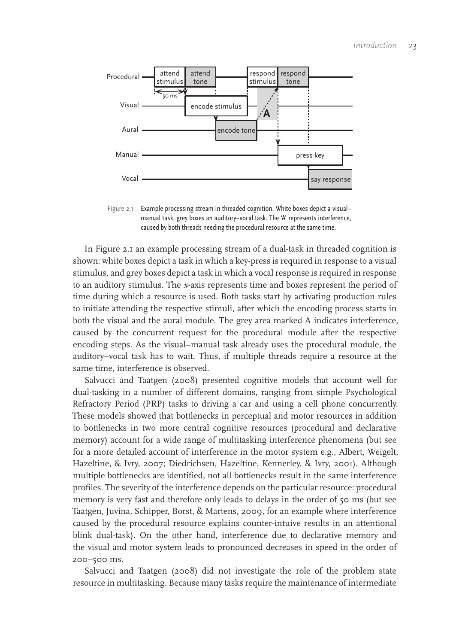

Figure 2.1 Example processing stream in threaded cognition. White boxes depict a visual– manual task, grey boxes an auditory–vocal task. The 'A' represents interference, caused by both threads needing the procedural resource at the same time.

In Figure 2.1 an example processing stream of a dual-task in threaded cognition is shown: white boxes depict a task in which a key-press is required in response to a visual stimulus, and grey boxes depict a task in which a vocal response is required in response to an auditory stimulus. The *x*-axis represents time and boxes represent the period of time during which a resource is used. Both tasks start by activating production rules to initiate attending the respective stimuli, after which the encoding process starts in both the visual and the aural module. The grey area marked A indicates interference, caused by the concurrent request for the procedural module after the respective encoding steps. As the visual–manual task already uses the procedural module, the auditory–vocal task has to wait. Thus, if multiple threads require a resource at the same time, interference is observed.

Salvucci and Taatgen (2008) presented cognitive models that account well for dual-tasking in a number of different domains, ranging from simple Psychological Refractory Period (PRP) tasks to driving a car and using a cell phone concurrently. These models showed that bottlenecks in perceptual and motor resources in addition to bottlenecks in two more central cognitive resources (procedural and declarative memory) account for a wide range of multitasking interference phenomena (but see for a more detailed account of interference in the motor system e.g., Albert, Weigelt, Hazeltine, & Ivry, 2007; Diedrichsen, Hazeltine, Kennerley, & Ivry, 2001). Although multiple bottlenecks are identified, not all bottlenecks result in the same interference profiles. The severity of the interference depends on the particular resource: procedural memory is very fast and therefore only leads to delays in the order of 50 ms (but see Taatgen, Juvina, Schipper, Borst, & Martens, 2009, for an example where interference caused by the procedural resource explains counter-intuive results in an attentional blink dual-task). On the other hand, interference due to declarative memory and the visual and motor system leads to pronounced decreases in speed in the order of 200–500 ms.

Salvucci and Taatgen (2008) did not investigate the role of the problem state resource in multitasking. Because many tasks require the maintenance of intermediate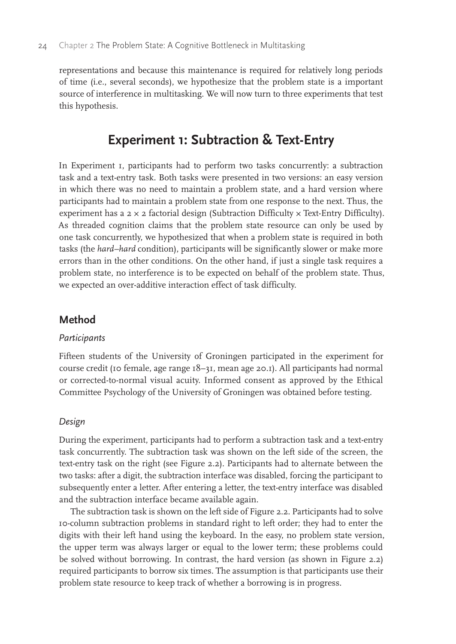representations and because this maintenance is required for relatively long periods of time (i.e., several seconds), we hypothesize that the problem state is a important source of interference in multitasking. We will now turn to three experiments that test this hypothesis.

# **Experiment 1: Subtraction & Text-Entry**

In Experiment 1, participants had to perform two tasks concurrently: a subtraction task and a text-entry task. Both tasks were presented in two versions: an easy version in which there was no need to maintain a problem state, and a hard version where participants had to maintain a problem state from one response to the next. Thus, the experiment has a 2 × 2 factorial design (Subtraction Difficulty × Text-Entry Difficulty). As threaded cognition claims that the problem state resource can only be used by one task concurrently, we hypothesized that when a problem state is required in both tasks (the *hard–hard* condition), participants will be significantly slower or make more errors than in the other conditions. On the other hand, if just a single task requires a problem state, no interference is to be expected on behalf of the problem state. Thus, we expected an over-additive interaction effect of task difficulty.

## **Method**

### *Participants*

Fifteen students of the University of Groningen participated in the experiment for course credit (10 female, age range 18–31, mean age 20.1). All participants had normal or corrected-to-normal visual acuity. Informed consent as approved by the Ethical Committee Psychology of the University of Groningen was obtained before testing.

### *Design*

During the experiment, participants had to perform a subtraction task and a text-entry task concurrently. The subtraction task was shown on the left side of the screen, the text-entry task on the right (see Figure 2.2). Participants had to alternate between the two tasks: after a digit, the subtraction interface was disabled, forcing the participant to subsequently enter a letter. After entering a letter, the text-entry interface was disabled and the subtraction interface became available again.

The subtraction task is shown on the left side of Figure 2.2. Participants had to solve 10-column subtraction problems in standard right to left order; they had to enter the digits with their left hand using the keyboard. In the easy, no problem state version, the upper term was always larger or equal to the lower term; these problems could be solved without borrowing. In contrast, the hard version (as shown in Figure 2.2) required participants to borrow six times. The assumption is that participants use their problem state resource to keep track of whether a borrowing is in progress.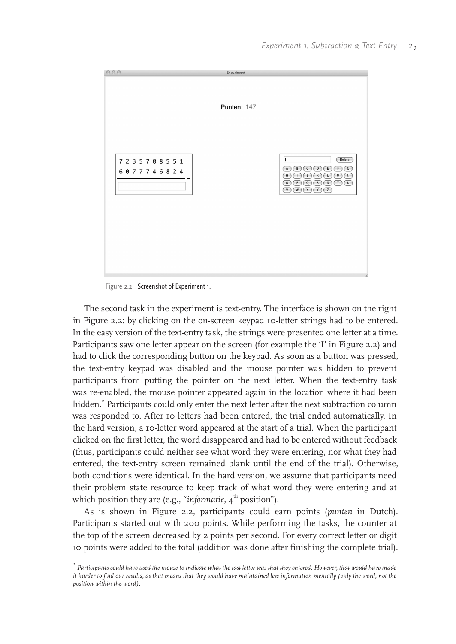

Figure 2.2 Screenshot of Experiment 1.

The second task in the experiment is text-entry. The interface is shown on the right in Figure 2.2: by clicking on the on-screen keypad 10-letter strings had to be entered. In the easy version of the text-entry task, the strings were presented one letter at a time. Participants saw one letter appear on the screen (for example the 'I' in Figure 2.2) and had to click the corresponding button on the keypad. As soon as a button was pressed, the text-entry keypad was disabled and the mouse pointer was hidden to prevent participants from putting the pointer on the next letter. When the text-entry task was re-enabled, the mouse pointer appeared again in the location where it had been hidden.<sup>2</sup> Participants could only enter the next letter after the next subtraction column was responded to. After 10 letters had been entered, the trial ended automatically. In the hard version, a 10-letter word appeared at the start of a trial. When the participant clicked on the first letter, the word disappeared and had to be entered without feedback (thus, participants could neither see what word they were entering, nor what they had entered, the text-entry screen remained blank until the end of the trial). Otherwise, both conditions were identical. In the hard version, we assume that participants need their problem state resource to keep track of what word they were entering and at which position they are (e.g., "*informatie*,  $\boldsymbol{\mu}^{\text{th}}$  position").

As is shown in Figure 2.2, participants could earn points (*punten* in Dutch). Participants started out with 200 points. While performing the tasks, the counter at the top of the screen decreased by 2 points per second. For every correct letter or digit 10 points were added to the total (addition was done after finishing the complete trial).

<sup>&</sup>lt;sup>2</sup> Participants could have used the mouse to indicate what the last letter was that they entered. However, that would have made it harder to find our results, as that means that they would have maintained less information mentally (only the word, not the *position within the word).*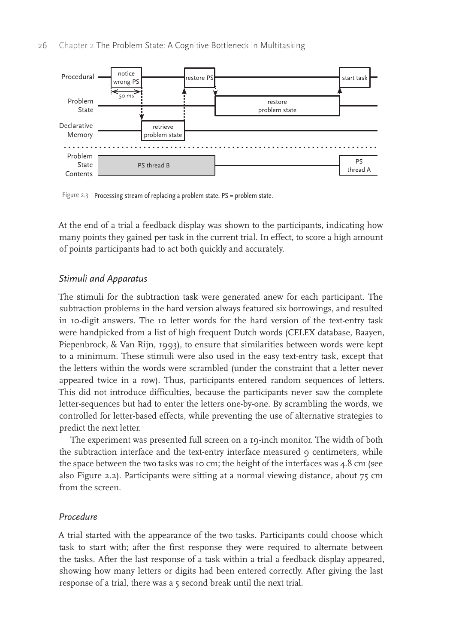

Figure 2.3 Processing stream of replacing a problem state. PS = problem state.

At the end of a trial a feedback display was shown to the participants, indicating how many points they gained per task in the current trial. In effect, to score a high amount of points participants had to act both quickly and accurately.

#### *Stimuli and Apparatus*

The stimuli for the subtraction task were generated anew for each participant. The subtraction problems in the hard version always featured six borrowings, and resulted in 10-digit answers. The 10 letter words for the hard version of the text-entry task were handpicked from a list of high frequent Dutch words (CELEX database, Baayen, Piepenbrock, & Van Rijn, 1993), to ensure that similarities between words were kept to a minimum. These stimuli were also used in the easy text-entry task, except that the letters within the words were scrambled (under the constraint that a letter never appeared twice in a row). Thus, participants entered random sequences of letters. This did not introduce difficulties, because the participants never saw the complete letter-sequences but had to enter the letters one-by-one. By scrambling the words, we controlled for letter-based effects, while preventing the use of alternative strategies to predict the next letter.

The experiment was presented full screen on a 19-inch monitor. The width of both the subtraction interface and the text-entry interface measured 9 centimeters, while the space between the two tasks was 10 cm; the height of the interfaces was 4.8 cm (see also Figure 2.2). Participants were sitting at a normal viewing distance, about 75 cm from the screen.

#### *Procedure*

A trial started with the appearance of the two tasks. Participants could choose which task to start with; after the first response they were required to alternate between the tasks. After the last response of a task within a trial a feedback display appeared, showing how many letters or digits had been entered correctly. After giving the last response of a trial, there was a 5 second break until the next trial.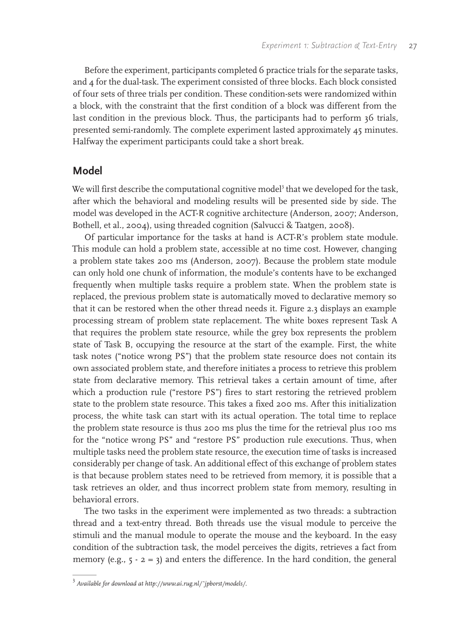Before the experiment, participants completed 6 practice trials for the separate tasks, and 4 for the dual-task. The experiment consisted of three blocks. Each block consisted of four sets of three trials per condition. These condition-sets were randomized within a block, with the constraint that the first condition of a block was different from the last condition in the previous block. Thus, the participants had to perform 36 trials, presented semi-randomly. The complete experiment lasted approximately 45 minutes. Halfway the experiment participants could take a short break.

## **Model**

We will first describe the computational cognitive model<sup>3</sup> that we developed for the task, after which the behavioral and modeling results will be presented side by side. The model was developed in the ACT-R cognitive architecture (Anderson, 2007; Anderson, Bothell, et al., 2004), using threaded cognition (Salvucci & Taatgen, 2008).

Of particular importance for the tasks at hand is ACT-R's problem state module. This module can hold a problem state, accessible at no time cost. However, changing a problem state takes 200 ms (Anderson, 2007). Because the problem state module can only hold one chunk of information, the module's contents have to be exchanged frequently when multiple tasks require a problem state. When the problem state is replaced, the previous problem state is automatically moved to declarative memory so that it can be restored when the other thread needs it. Figure 2.3 displays an example processing stream of problem state replacement. The white boxes represent Task A that requires the problem state resource, while the grey box represents the problem state of Task B, occupying the resource at the start of the example. First, the white task notes ("notice wrong PS") that the problem state resource does not contain its own associated problem state, and therefore initiates a process to retrieve this problem state from declarative memory. This retrieval takes a certain amount of time, after which a production rule ("restore PS") fires to start restoring the retrieved problem state to the problem state resource. This takes a fixed 200 ms. After this initialization process, the white task can start with its actual operation. The total time to replace the problem state resource is thus 200 ms plus the time for the retrieval plus 100 ms for the "notice wrong PS" and "restore PS" production rule executions. Thus, when multiple tasks need the problem state resource, the execution time of tasks is increased considerably per change of task. An additional effect of this exchange of problem states is that because problem states need to be retrieved from memory, it is possible that a task retrieves an older, and thus incorrect problem state from memory, resulting in behavioral errors.

The two tasks in the experiment were implemented as two threads: a subtraction thread and a text-entry thread. Both threads use the visual module to perceive the stimuli and the manual module to operate the mouse and the keyboard. In the easy condition of the subtraction task, the model perceives the digits, retrieves a fact from memory (e.g.,  $5 - 2 = 3$ ) and enters the difference. In the hard condition, the general

<sup>3</sup>  *Available for download at http://www.ai.rug.nl/~jpborst/models/.*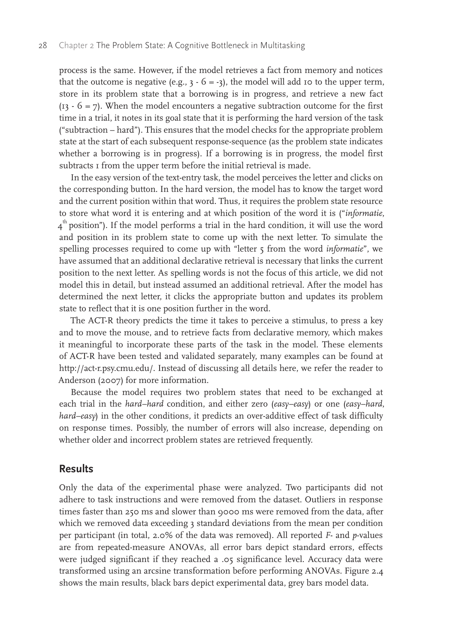process is the same. However, if the model retrieves a fact from memory and notices that the outcome is negative (e.g.,  $3 - 6 = -3$ ), the model will add 10 to the upper term, store in its problem state that a borrowing is in progress, and retrieve a new fact  $(13 - 6 = 7)$ . When the model encounters a negative subtraction outcome for the first time in a trial, it notes in its goal state that it is performing the hard version of the task ("subtraction – hard"). This ensures that the model checks for the appropriate problem state at the start of each subsequent response-sequence (as the problem state indicates whether a borrowing is in progress). If a borrowing is in progress, the model first subtracts I from the upper term before the initial retrieval is made.

In the easy version of the text-entry task, the model perceives the letter and clicks on the corresponding button. In the hard version, the model has to know the target word and the current position within that word. Thus, it requires the problem state resource to store what word it is entering and at which position of the word it is ("*informatie*,  $4<sup>th</sup>$  position"). If the model performs a trial in the hard condition, it will use the word and position in its problem state to come up with the next letter. To simulate the spelling processes required to come up with "letter 5 from the word *informatie*", we have assumed that an additional declarative retrieval is necessary that links the current position to the next letter. As spelling words is not the focus of this article, we did not model this in detail, but instead assumed an additional retrieval. After the model has determined the next letter, it clicks the appropriate button and updates its problem state to reflect that it is one position further in the word.

The ACT-R theory predicts the time it takes to perceive a stimulus, to press a key and to move the mouse, and to retrieve facts from declarative memory, which makes it meaningful to incorporate these parts of the task in the model. These elements of ACT-R have been tested and validated separately, many examples can be found at http://act-r.psy.cmu.edu/. Instead of discussing all details here, we refer the reader to Anderson (2007) for more information.

Because the model requires two problem states that need to be exchanged at each trial in the *hard–hard* condition, and either zero (*easy–easy*) or one (*easy–hard*, *hard–easy*) in the other conditions, it predicts an over-additive effect of task difficulty on response times. Possibly, the number of errors will also increase, depending on whether older and incorrect problem states are retrieved frequently.

## **Results**

Only the data of the experimental phase were analyzed. Two participants did not adhere to task instructions and were removed from the dataset. Outliers in response times faster than 250 ms and slower than 9000 ms were removed from the data, after which we removed data exceeding 3 standard deviations from the mean per condition per participant (in total, 2.0% of the data was removed). All reported *F*- and *p*-values are from repeated-measure ANOVAs, all error bars depict standard errors, effects were judged significant if they reached a .05 significance level. Accuracy data were transformed using an arcsine transformation before performing ANOVAs. Figure 2.4 shows the main results, black bars depict experimental data, grey bars model data.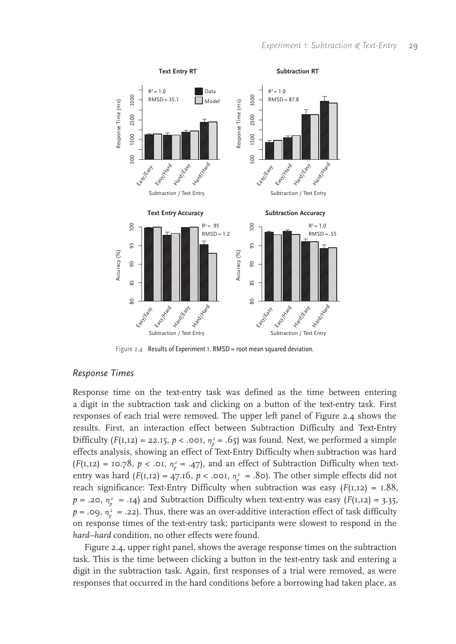

Figure 2.4 Results of Experiment 1. RMSD = root mean squared deviation.

#### *Response Times*

Response time on the text-entry task was defined as the time between entering a digit in the subtraction task and clicking on a button of the text-entry task. First responses of each trial were removed. The upper left panel of Figure 2.4 shows the results. First, an interaction effect between Subtraction Difficulty and Text-Entry Difficulty  $(F(1,12) = 22.15, p < .001, \eta_p^2 = .65)$  was found. Next, we performed a simple effects analysis, showing an effect of Text-Entry Difficulty when subtraction was hard  $(F(I,I2) = I0.78, p < .0I, n_p^2 = .47)$ , and an effect of Subtraction Difficulty when textentry was hard ( $F(1,12) = 47.16$ ,  $p < .001$ ,  $n_p^2 = .80$ ). The other simple effects did not reach significance: Text-Entry Difficulty when subtraction was easy  $(F(1,12) = 1.88$ ,  $p = .20$ ,  $n_p^2 = .14$ ) and Subtraction Difficulty when text-entry was easy ( $F(1,12) = 3.35$ ,  $p = .09$ ,  $n_p^2 = .22$ ). Thus, there was an over-additive interaction effect of task difficulty on response times of the text-entry task; participants were slowest to respond in the *hard–hard* condition, no other effects were found.

Figure 2.4, upper right panel, shows the average response times on the subtraction task. This is the time between clicking a button in the text-entry task and entering a digit in the subtraction task. Again, first responses of a trial were removed, as were responses that occurred in the hard conditions before a borrowing had taken place, as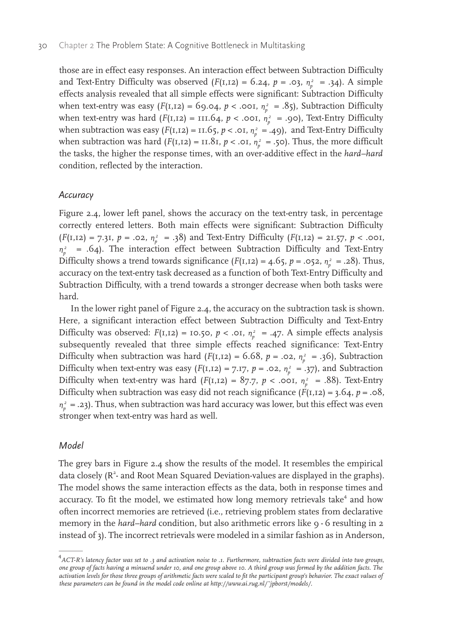those are in effect easy responses. An interaction effect between Subtraction Difficulty and Text-Entry Difficulty was observed  $(F(1,12) = 6.24, p = .03, \eta_p^2 = .34)$ . A simple effects analysis revealed that all simple effects were significant: Subtraction Difficulty when text-entry was easy  $(F(1,12) = 69.04, p < .001, n_p^2 = .85)$ , Subtraction Difficulty when text-entry was hard ( $F(1,12) = 111.64$ ,  $p < .001$ ,  $n_p^2 = .90$ ), Text-Entry Difficulty when subtraction was easy ( $F(1,12) = 11.65$ ,  $p < .01$ ,  $n_p^2 = .49$ ), and Text-Entry Difficulty when subtraction was hard ( $F(1,12) = 11.81$ ,  $p < .01$ ,  $n_p^2 = .50$ ). Thus, the more difficult the tasks, the higher the response times, with an over-additive effect in the *hard–hard* condition, reflected by the interaction.

### *Accuracy*

Figure 2.4, lower left panel, shows the accuracy on the text-entry task, in percentage correctly entered letters. Both main effects were significant: Subtraction Difficulty  $(F(I,I2) = 7.3I, p = .02, \eta_p^2 = .38)$  and Text-Entry Difficulty  $(F(I,I2) = 2I.57, p < .00I,$  $\eta_p^2$  = .64). The interaction effect between Subtraction Difficulty and Text-Entry Difficulty shows a trend towards significance  $(F(1,12) = 4.65, p = .052, \eta_p^2 = .28)$ . Thus, accuracy on the text-entry task decreased as a function of both Text-Entry Difficulty and Subtraction Difficulty, with a trend towards a stronger decrease when both tasks were hard.

In the lower right panel of Figure 2.4, the accuracy on the subtraction task is shown. Here, a significant interaction effect between Subtraction Difficulty and Text-Entry Difficulty was observed:  $F(1,12) = 10.50$ ,  $p < .01$ ,  $\eta_p^2 = .47$ . A simple effects analysis subsequently revealed that three simple effects reached significance: Text-Entry Difficulty when subtraction was hard ( $F(1,12) = 6.68$ ,  $p = .02$ ,  $n_p^2 = .36$ ), Subtraction Difficulty when text-entry was easy ( $F(1,12) = 7.17$ ,  $p = .02$ ,  $n_p^2 = .37$ ), and Subtraction Difficulty when text-entry was hard  $(F(1,12) = 87.7, p < .001, \eta_p^2 = .88)$ . Text-Entry Difficulty when subtraction was easy did not reach significance  $(F(1,12) = 3.64, p = .08,$  $\eta_p^2$  = .23). Thus, when subtraction was hard accuracy was lower, but this effect was even stronger when text-entry was hard as well.

### *Model*

The grey bars in Figure 2.4 show the results of the model. It resembles the empirical data closely ( $R^2$ - and Root Mean Squared Deviation-values are displayed in the graphs). The model shows the same interaction effects as the data, both in response times and accuracy. To fit the model, we estimated how long memory retrievals take<sup>4</sup> and how often incorrect memories are retrieved (i.e., retrieving problem states from declarative memory in the *hard–hard* condition, but also arithmetic errors like 9 - 6 resulting in 2 instead of 3). The incorrect retrievals were modeled in a similar fashion as in Anderson,

<sup>4</sup> *ACT-R's latency factor was set to .3 and activation noise to .1. Furthermore, subtraction facts were divided into two groups, one group of facts having a minuend under 10, and one group above 10. A third group was formed by the addition facts. The activation levels for those three groups of arithmetic facts were scaled to fit the participant group's behavior. The exact values of these parameters can be found in the model code online at http://www.ai.rug.nl/~jpborst/models/.*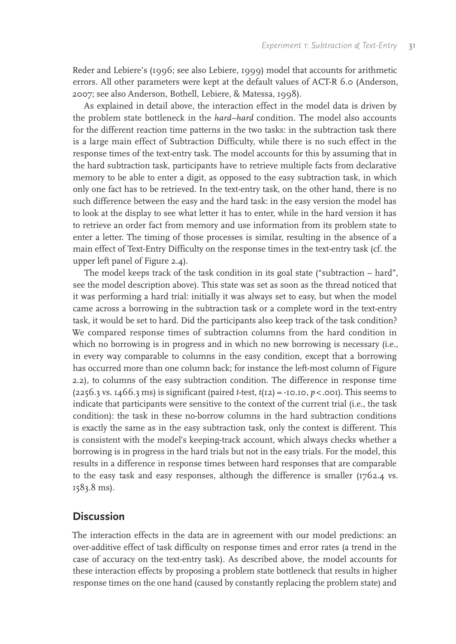Reder and Lebiere's (1996; see also Lebiere, 1999) model that accounts for arithmetic errors. All other parameters were kept at the default values of ACT-R 6.0 (Anderson, 2007; see also Anderson, Bothell, Lebiere, & Matessa, 1998).

As explained in detail above, the interaction effect in the model data is driven by the problem state bottleneck in the *hard–hard* condition. The model also accounts for the different reaction time patterns in the two tasks: in the subtraction task there is a large main effect of Subtraction Difficulty, while there is no such effect in the response times of the text-entry task. The model accounts for this by assuming that in the hard subtraction task, participants have to retrieve multiple facts from declarative memory to be able to enter a digit, as opposed to the easy subtraction task, in which only one fact has to be retrieved. In the text-entry task, on the other hand, there is no such difference between the easy and the hard task: in the easy version the model has to look at the display to see what letter it has to enter, while in the hard version it has to retrieve an order fact from memory and use information from its problem state to enter a letter. The timing of those processes is similar, resulting in the absence of a main effect of Text-Entry Difficulty on the response times in the text-entry task (cf. the upper left panel of Figure 2.4).

The model keeps track of the task condition in its goal state ("subtraction – hard", see the model description above). This state was set as soon as the thread noticed that it was performing a hard trial: initially it was always set to easy, but when the model came across a borrowing in the subtraction task or a complete word in the text-entry task, it would be set to hard. Did the participants also keep track of the task condition? We compared response times of subtraction columns from the hard condition in which no borrowing is in progress and in which no new borrowing is necessary (i.e., in every way comparable to columns in the easy condition, except that a borrowing has occurred more than one column back; for instance the left-most column of Figure 2.2), to columns of the easy subtraction condition. The difference in response time (2256.3 vs. 1466.3 ms) is significant (paired *t*-test, *t*(12) = -10.10, *p* < .001). This seems to indicate that participants were sensitive to the context of the current trial (i.e., the task condition): the task in these no-borrow columns in the hard subtraction conditions is exactly the same as in the easy subtraction task, only the context is different. This is consistent with the model's keeping-track account, which always checks whether a borrowing is in progress in the hard trials but not in the easy trials. For the model, this results in a difference in response times between hard responses that are comparable to the easy task and easy responses, although the difference is smaller (1762.4 vs. 1583.8 ms).

# **Discussion**

The interaction effects in the data are in agreement with our model predictions: an over-additive effect of task difficulty on response times and error rates (a trend in the case of accuracy on the text-entry task). As described above, the model accounts for these interaction effects by proposing a problem state bottleneck that results in higher response times on the one hand (caused by constantly replacing the problem state) and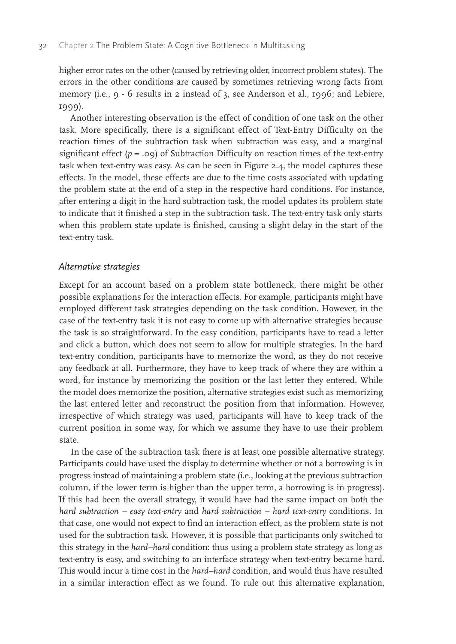higher error rates on the other (caused by retrieving older, incorrect problem states). The errors in the other conditions are caused by sometimes retrieving wrong facts from memory (i.e., 9 - 6 results in 2 instead of 3, see Anderson et al., 1996; and Lebiere, 1999).

Another interesting observation is the effect of condition of one task on the other task. More specifically, there is a significant effect of Text-Entry Difficulty on the reaction times of the subtraction task when subtraction was easy, and a marginal significant effect  $(p = .09)$  of Subtraction Difficulty on reaction times of the text-entry task when text-entry was easy. As can be seen in Figure 2.4, the model captures these effects. In the model, these effects are due to the time costs associated with updating the problem state at the end of a step in the respective hard conditions. For instance, after entering a digit in the hard subtraction task, the model updates its problem state to indicate that it finished a step in the subtraction task. The text-entry task only starts when this problem state update is finished, causing a slight delay in the start of the text-entry task.

#### *Alternative strategies*

Except for an account based on a problem state bottleneck, there might be other possible explanations for the interaction effects. For example, participants might have employed different task strategies depending on the task condition. However, in the case of the text-entry task it is not easy to come up with alternative strategies because the task is so straightforward. In the easy condition, participants have to read a letter and click a button, which does not seem to allow for multiple strategies. In the hard text-entry condition, participants have to memorize the word, as they do not receive any feedback at all. Furthermore, they have to keep track of where they are within a word, for instance by memorizing the position or the last letter they entered. While the model does memorize the position, alternative strategies exist such as memorizing the last entered letter and reconstruct the position from that information. However, irrespective of which strategy was used, participants will have to keep track of the current position in some way, for which we assume they have to use their problem state.

In the case of the subtraction task there is at least one possible alternative strategy. Participants could have used the display to determine whether or not a borrowing is in progress instead of maintaining a problem state (i.e., looking at the previous subtraction column, if the lower term is higher than the upper term, a borrowing is in progress). If this had been the overall strategy, it would have had the same impact on both the *hard subtraction – easy text-entry* and *hard subtraction – hard text-entry* conditions. In that case, one would not expect to find an interaction effect, as the problem state is not used for the subtraction task. However, it is possible that participants only switched to this strategy in the *hard–hard* condition: thus using a problem state strategy as long as text-entry is easy, and switching to an interface strategy when text-entry became hard. This would incur a time cost in the *hard–hard* condition, and would thus have resulted in a similar interaction effect as we found. To rule out this alternative explanation,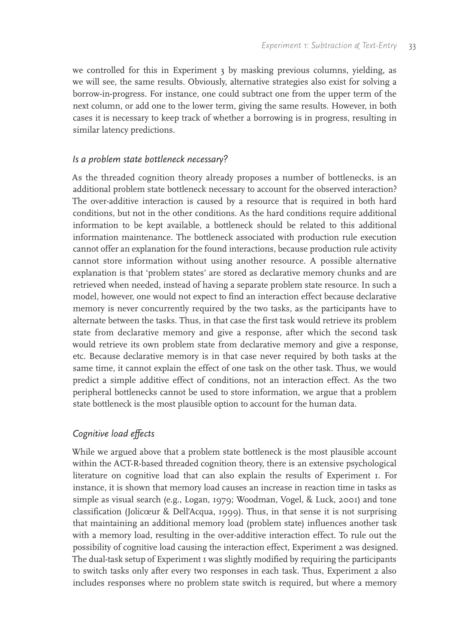we controlled for this in Experiment 3 by masking previous columns, yielding, as we will see, the same results. Obviously, alternative strategies also exist for solving a borrow-in-progress. For instance, one could subtract one from the upper term of the next column, or add one to the lower term, giving the same results. However, in both cases it is necessary to keep track of whether a borrowing is in progress, resulting in similar latency predictions.

### *Is a problem state bottleneck necessary?*

As the threaded cognition theory already proposes a number of bottlenecks, is an additional problem state bottleneck necessary to account for the observed interaction? The over-additive interaction is caused by a resource that is required in both hard conditions, but not in the other conditions. As the hard conditions require additional information to be kept available, a bottleneck should be related to this additional information maintenance. The bottleneck associated with production rule execution cannot offer an explanation for the found interactions, because production rule activity cannot store information without using another resource. A possible alternative explanation is that 'problem states' are stored as declarative memory chunks and are retrieved when needed, instead of having a separate problem state resource. In such a model, however, one would not expect to find an interaction effect because declarative memory is never concurrently required by the two tasks, as the participants have to alternate between the tasks. Thus, in that case the first task would retrieve its problem state from declarative memory and give a response, after which the second task would retrieve its own problem state from declarative memory and give a response, etc. Because declarative memory is in that case never required by both tasks at the same time, it cannot explain the effect of one task on the other task. Thus, we would predict a simple additive effect of conditions, not an interaction effect. As the two peripheral bottlenecks cannot be used to store information, we argue that a problem state bottleneck is the most plausible option to account for the human data.

### *Cognitive load effects*

While we argued above that a problem state bottleneck is the most plausible account within the ACT-R-based threaded cognition theory, there is an extensive psychological literature on cognitive load that can also explain the results of Experiment 1. For instance, it is shown that memory load causes an increase in reaction time in tasks as simple as visual search (e.g., Logan, 1979; Woodman, Vogel, & Luck, 2001) and tone classification (Jolicœur & Dell'Acqua, 1999). Thus, in that sense it is not surprising that maintaining an additional memory load (problem state) influences another task with a memory load, resulting in the over-additive interaction effect. To rule out the possibility of cognitive load causing the interaction effect, Experiment 2 was designed. The dual-task setup of Experiment 1 was slightly modified by requiring the participants to switch tasks only after every two responses in each task. Thus, Experiment 2 also includes responses where no problem state switch is required, but where a memory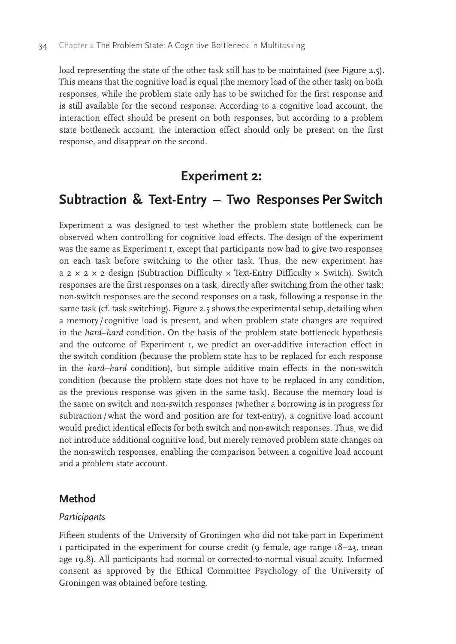load representing the state of the other task still has to be maintained (see Figure 2.5). This means that the cognitive load is equal (the memory load of the other task) on both responses, while the problem state only has to be switched for the first response and is still available for the second response. According to a cognitive load account, the interaction effect should be present on both responses, but according to a problem state bottleneck account, the interaction effect should only be present on the first response, and disappear on the second.

# **Experiment 2:**

# **Subtraction & Text-Entry – Two Responses Per Switch**

Experiment 2 was designed to test whether the problem state bottleneck can be observed when controlling for cognitive load effects. The design of the experiment was the same as Experiment 1, except that participants now had to give two responses on each task before switching to the other task. Thus, the new experiment has a 2 × 2 × 2 design (Subtraction Difficulty × Text-Entry Difficulty × Switch). Switch responses are the first responses on a task, directly after switching from the other task; non-switch responses are the second responses on a task, following a response in the same task (cf. task switching). Figure 2.5 shows the experimental setup, detailing when a memory / cognitive load is present, and when problem state changes are required in the *hard–hard* condition. On the basis of the problem state bottleneck hypothesis and the outcome of Experiment 1, we predict an over-additive interaction effect in the switch condition (because the problem state has to be replaced for each response in the *hard–hard* condition), but simple additive main effects in the non-switch condition (because the problem state does not have to be replaced in any condition, as the previous response was given in the same task). Because the memory load is the same on switch and non-switch responses (whether a borrowing is in progress for subtraction/what the word and position are for text-entry), a cognitive load account would predict identical effects for both switch and non-switch responses. Thus, we did not introduce additional cognitive load, but merely removed problem state changes on the non-switch responses, enabling the comparison between a cognitive load account and a problem state account.

# **Method**

### *Participants*

Fifteen students of the University of Groningen who did not take part in Experiment 1 participated in the experiment for course credit (9 female, age range 18–23, mean age 19.8). All participants had normal or corrected-to-normal visual acuity. Informed consent as approved by the Ethical Committee Psychology of the University of Groningen was obtained before testing.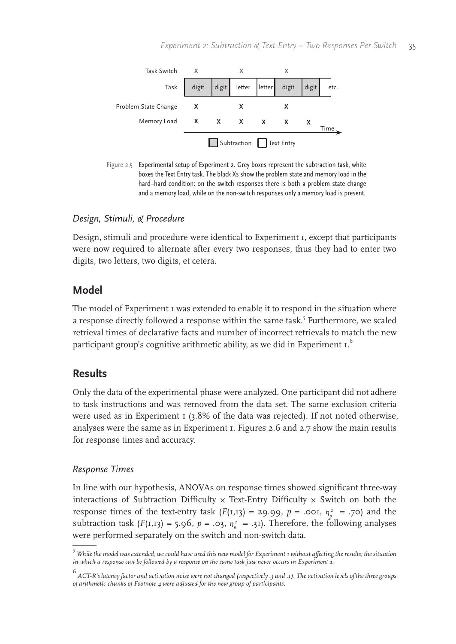

Figure 2.5 Experimental setup of Experiment 2. Grey boxes represent the subtraction task, white boxes the Text Entry task. The black Xs show the problem state and memory load in the hard–hard condition: on the switch responses there is both a problem state change and a memory load, while on the non-switch responses only a memory load is present.

### *Design, Stimuli, & Procedure*

Design, stimuli and procedure were identical to Experiment 1, except that participants were now required to alternate after every two responses, thus they had to enter two digits, two letters, two digits, et cetera.

# **Model**

The model of Experiment I was extended to enable it to respond in the situation where a response directly followed a response within the same task.<sup>5</sup> Furthermore, we scaled retrieval times of declarative facts and number of incorrect retrievals to match the new participant group's cognitive arithmetic ability, as we did in Experiment I.<sup>6</sup>

# **Results**

Only the data of the experimental phase were analyzed. One participant did not adhere to task instructions and was removed from the data set. The same exclusion criteria were used as in Experiment 1 (3.8% of the data was rejected). If not noted otherwise, analyses were the same as in Experiment 1. Figures 2.6 and 2.7 show the main results for response times and accuracy.

## *Response Times*

In line with our hypothesis, ANOVAs on response times showed significant three-way interactions of Subtraction Difficulty ∑ Text-Entry Difficulty ∑ Switch on both the response times of the text-entry task  $(F(1,13) = 29.99, p = .001, n_p^2 = .70)$  and the subtraction task  $(F(1,13) = 5.96, p = .03, n_p^2 = .31)$ . Therefore, the following analyses were performed separately on the switch and non-switch data.

<sup>5</sup>  *While the model was extended, we could have used this new model for Experiment 1 without affecting the results; the situation in which a response can be followed by a response on the same task just never occurs in Experiment 1.*

<sup>6</sup>  *ACT-R's latency factor and activation noise were not changed (respectively .3 and .1). The activation levels of the three groups of arithmetic chunks of Footnote 4 were adjusted for the new group of participants.*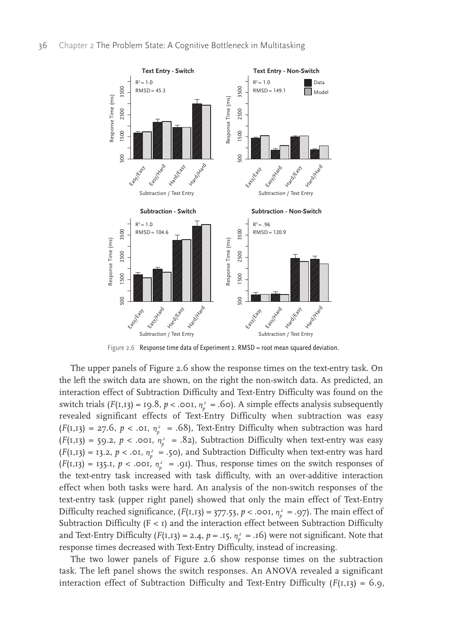

Figure 2.6 Response time data of Experiment 2. RMSD = root mean squared deviation.

The upper panels of Figure 2.6 show the response times on the text-entry task. On the left the switch data are shown, on the right the non-switch data. As predicted, an interaction effect of Subtraction Difficulty and Text-Entry Difficulty was found on the switch trials ( $F(1,13) = 19.8$ ,  $p < .001$ ,  $\eta_p^2 = .60$ ). A simple effects analysis subsequently revealed significant effects of Text-Entry Difficulty when subtraction was easy  $(F(1,13) = 27.6, p < .01, \eta_p^2 = .68)$ , Text-Entry Difficulty when subtraction was hard  $(F(1,13) = 59.2, p < .001, \eta_p^2 = .82)$ , Subtraction Difficulty when text-entry was easy  $(F(1,13) = 13.2, p < .01, n_p^2 = .50)$ , and Subtraction Difficulty when text-entry was hard  $(F(I,I3) = I35,I, p < .00I, \eta_p^2 = .9I)$ . Thus, response times on the switch responses of the text-entry task increased with task difficulty, with an over-additive interaction effect when both tasks were hard. An analysis of the non-switch responses of the text-entry task (upper right panel) showed that only the main effect of Text-Entry Difficulty reached significance,  $(F(1,13) = 377.53, p < .001, n_p^2 = .97)$ . The main effect of Subtraction Difficulty  $(F < i)$  and the interaction effect between Subtraction Difficulty and Text-Entry Difficulty ( $F(1,13) = 2.4$ ,  $p = .15$ ,  $n_p^2 = .16$ ) were not significant. Note that response times decreased with Text-Entry Difficulty, instead of increasing.

The two lower panels of Figure 2.6 show response times on the subtraction task. The left panel shows the switch responses. An ANOVA revealed a significant interaction effect of Subtraction Difficulty and Text-Entry Difficulty  $(F(1,13) = 6.9)$ ,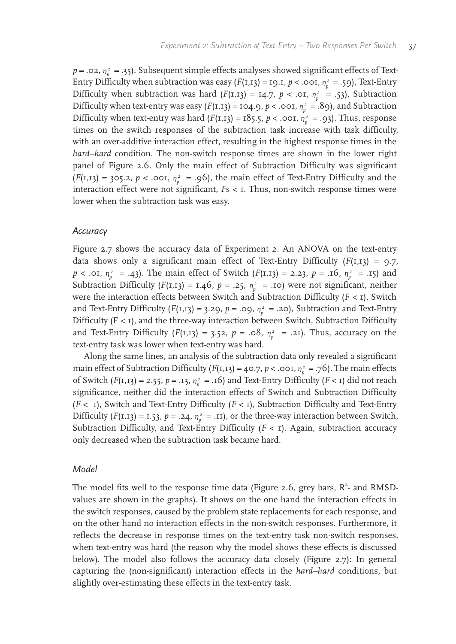*p* = .02, <sup>η</sup>*<sup>p</sup> 2* = .35). Subsequent simple effects analyses showed significant effects of Text-Entry Difficulty when subtraction was easy  $(F(1,13) = 19.1, p < .001, n_p^2 = .59)$ , Text-Entry Difficulty when subtraction was hard  $(F(1,13) = 14.7, p < .01, n_p^2 = .53)$ , Subtraction Difficulty when text-entry was easy  $(F(1,13) = 104.9, p < .001, n_p^2 = .89)$ , and Subtraction Difficulty when text-entry was hard  $(F(1,13) = 185.5, p < .001, \eta_p^2 = .93)$ . Thus, response times on the switch responses of the subtraction task increase with task difficulty, with an over-additive interaction effect, resulting in the highest response times in the *hard–hard* condition. The non-switch response times are shown in the lower right panel of Figure 2.6. Only the main effect of Subtraction Difficulty was significant  $(F(1,13) = 305.2, p < .001, \eta_p^2 = .96)$ , the main effect of Text-Entry Difficulty and the interaction effect were not significant, *F*s < 1. Thus, non-switch response times were lower when the subtraction task was easy.

#### *Accuracy*

Figure 2.7 shows the accuracy data of Experiment 2. An ANOVA on the text-entry data shows only a significant main effect of Text-Entry Difficulty  $(F(1,13)) = 9.7$ , *p* < .01,  $\eta_p^2$  = .43). The main effect of Switch (*F*(1,13) = 2.23, *p* = .16,  $\eta_p^2$  = .15) and Subtraction Difficulty ( $F(1,13) = 1.46$ ,  $p = .25$ ,  $n_p^2 = .10$ ) were not significant, neither were the interaction effects between Switch and Subtraction Difficulty ( $F < I$ ), Switch and Text-Entry Difficulty ( $F(1,13) = 3.29$ ,  $p = .09$ ,  $n_p^2 = .20$ ), Subtraction and Text-Entry Difficulty (F < 1), and the three-way interaction between Switch, Subtraction Difficulty and Text-Entry Difficulty ( $F(1,13) = 3.52$ ,  $p = .08$ ,  $n_p^2 = .21$ ). Thus, accuracy on the text-entry task was lower when text-entry was hard.

Along the same lines, an analysis of the subtraction data only revealed a significant main effect of Subtraction Difficulty ( $F(1,13) = 40.7$ ,  $p < .001$ ,  $n_p^2 = .76$ ). The main effects of Switch ( $F(1,13) = 2.55$ ,  $p = .13$ ,  $\eta_p^2 = .16$ ) and Text-Entry Difficulty ( $F < 1$ ) did not reach significance, neither did the interaction effects of Switch and Subtraction Difficulty (*F* < 1), Switch and Text-Entry Difficulty (*F* < 1), Subtraction Difficulty and Text-Entry Difficulty  $(F(1,13) = 1.53, p = .24, \eta_p^2 = .11)$ , or the three-way interaction between Switch, Subtraction Difficulty, and Text-Entry Difficulty  $(F < 1)$ . Again, subtraction accuracy only decreased when the subtraction task became hard.

#### *Model*

The model fits well to the response time data (Figure 2.6, grey bars,  $R^2$ - and RMSDvalues are shown in the graphs). It shows on the one hand the interaction effects in the switch responses, caused by the problem state replacements for each response, and on the other hand no interaction effects in the non-switch responses. Furthermore, it reflects the decrease in response times on the text-entry task non-switch responses, when text-entry was hard (the reason why the model shows these effects is discussed below). The model also follows the accuracy data closely (Figure 2.7): In general capturing the (non-significant) interaction effects in the *hard–hard* conditions, but slightly over-estimating these effects in the text-entry task.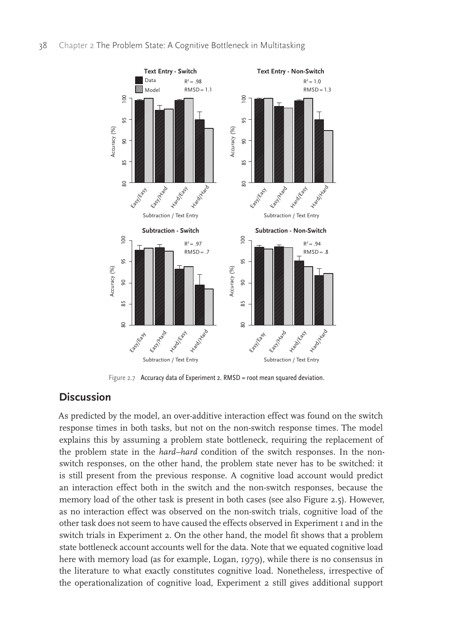

Figure 2.7 Accuracy data of Experiment 2. RMSD = root mean squared deviation.

# **Discussion**

As predicted by the model, an over-additive interaction effect was found on the switch response times in both tasks, but not on the non-switch response times. The model explains this by assuming a problem state bottleneck, requiring the replacement of the problem state in the *hard–hard* condition of the switch responses. In the nonswitch responses, on the other hand, the problem state never has to be switched: it is still present from the previous response. A cognitive load account would predict an interaction effect both in the switch and the non-switch responses, because the memory load of the other task is present in both cases (see also Figure 2.5). However, as no interaction effect was observed on the non-switch trials, cognitive load of the other task does not seem to have caused the effects observed in Experiment 1 and in the switch trials in Experiment 2. On the other hand, the model fit shows that a problem state bottleneck account accounts well for the data. Note that we equated cognitive load here with memory load (as for example, Logan, 1979), while there is no consensus in the literature to what exactly constitutes cognitive load. Nonetheless, irrespective of the operationalization of cognitive load, Experiment 2 still gives additional support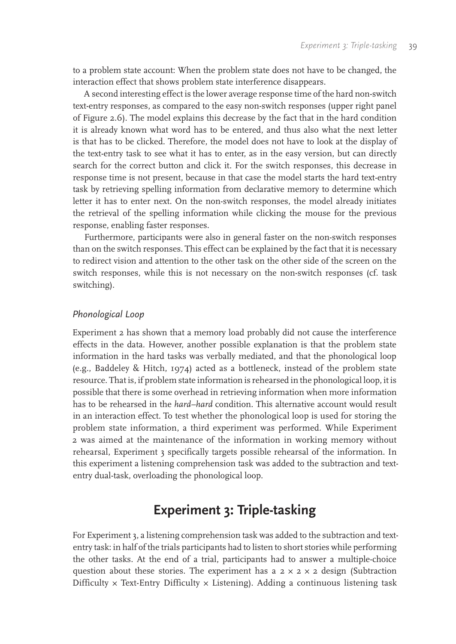to a problem state account: When the problem state does not have to be changed, the interaction effect that shows problem state interference disappears.

A second interesting effect is the lower average response time of the hard non-switch text-entry responses, as compared to the easy non-switch responses (upper right panel of Figure 2.6). The model explains this decrease by the fact that in the hard condition it is already known what word has to be entered, and thus also what the next letter is that has to be clicked. Therefore, the model does not have to look at the display of the text-entry task to see what it has to enter, as in the easy version, but can directly search for the correct button and click it. For the switch responses, this decrease in response time is not present, because in that case the model starts the hard text-entry task by retrieving spelling information from declarative memory to determine which letter it has to enter next. On the non-switch responses, the model already initiates the retrieval of the spelling information while clicking the mouse for the previous response, enabling faster responses.

Furthermore, participants were also in general faster on the non-switch responses than on the switch responses. This effect can be explained by the fact that it is necessary to redirect vision and attention to the other task on the other side of the screen on the switch responses, while this is not necessary on the non-switch responses (cf. task switching).

#### *Phonological Loop*

Experiment 2 has shown that a memory load probably did not cause the interference effects in the data. However, another possible explanation is that the problem state information in the hard tasks was verbally mediated, and that the phonological loop (e.g., Baddeley & Hitch, 1974) acted as a bottleneck, instead of the problem state resource. That is, if problem state information is rehearsed in the phonological loop, it is possible that there is some overhead in retrieving information when more information has to be rehearsed in the *hard–hard* condition. This alternative account would result in an interaction effect. To test whether the phonological loop is used for storing the problem state information, a third experiment was performed. While Experiment 2 was aimed at the maintenance of the information in working memory without rehearsal, Experiment 3 specifically targets possible rehearsal of the information. In this experiment a listening comprehension task was added to the subtraction and textentry dual-task, overloading the phonological loop.

# **Experiment 3: Triple-tasking**

For Experiment 3, a listening comprehension task was added to the subtraction and textentry task: in half of the trials participants had to listen to short stories while performing the other tasks. At the end of a trial, participants had to answer a multiple-choice question about these stories. The experiment has a  $2 \times 2 \times 2$  design (Subtraction Difficulty × Text-Entry Difficulty × Listening). Adding a continuous listening task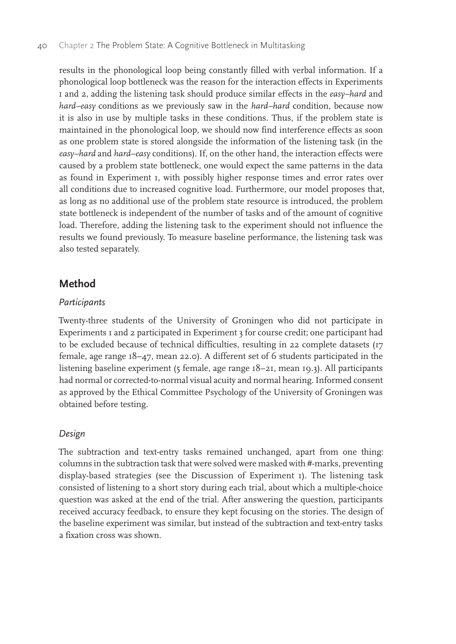results in the phonological loop being constantly filled with verbal information. If a phonological loop bottleneck was the reason for the interaction effects in Experiments 1 and 2, adding the listening task should produce similar effects in the *easy–hard* and *hard–easy* conditions as we previously saw in the *hard–hard* condition, because now it is also in use by multiple tasks in these conditions. Thus, if the problem state is maintained in the phonological loop, we should now find interference effects as soon as one problem state is stored alongside the information of the listening task (in the *easy–hard* and *hard–easy* conditions). If, on the other hand, the interaction effects were caused by a problem state bottleneck, one would expect the same patterns in the data as found in Experiment 1, with possibly higher response times and error rates over all conditions due to increased cognitive load. Furthermore, our model proposes that, as long as no additional use of the problem state resource is introduced, the problem state bottleneck is independent of the number of tasks and of the amount of cognitive load. Therefore, adding the listening task to the experiment should not influence the results we found previously. To measure baseline performance, the listening task was also tested separately.

# **Method**

## *Participants*

Twenty-three students of the University of Groningen who did not participate in Experiments 1 and 2 participated in Experiment 3 for course credit; one participant had to be excluded because of technical difficulties, resulting in 22 complete datasets (17 female, age range 18–47, mean 22.0). A different set of 6 students participated in the listening baseline experiment (5 female, age range 18–21, mean 19.3). All participants had normal or corrected-to-normal visual acuity and normal hearing. Informed consent as approved by the Ethical Committee Psychology of the University of Groningen was obtained before testing.

## *Design*

The subtraction and text-entry tasks remained unchanged, apart from one thing: columns in the subtraction task that were solved were masked with #-marks, preventing display-based strategies (see the Discussion of Experiment 1). The listening task consisted of listening to a short story during each trial, about which a multiple-choice question was asked at the end of the trial. After answering the question, participants received accuracy feedback, to ensure they kept focusing on the stories. The design of the baseline experiment was similar, but instead of the subtraction and text-entry tasks a fixation cross was shown.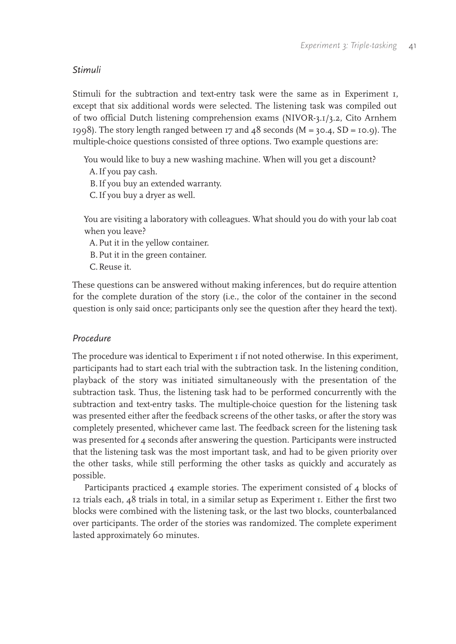#### *Stimuli*

Stimuli for the subtraction and text-entry task were the same as in Experiment 1, except that six additional words were selected. The listening task was compiled out of two official Dutch listening comprehension exams (NIVOR-3.1/3.2, Cito Arnhem 1998). The story length ranged between 17 and  $48$  seconds (M = 30.4, SD = 10.9). The multiple-choice questions consisted of three options. Two example questions are:

You would like to buy a new washing machine. When will you get a discount?

A.If you pay cash.

B.If you buy an extended warranty.

C.If you buy a dryer as well.

You are visiting a laboratory with colleagues. What should you do with your lab coat when you leave?

A.Put it in the yellow container.

B.Put it in the green container.

C.Reuse it.

These questions can be answered without making inferences, but do require attention for the complete duration of the story (i.e., the color of the container in the second question is only said once; participants only see the question after they heard the text).

### *Procedure*

The procedure was identical to Experiment I if not noted otherwise. In this experiment, participants had to start each trial with the subtraction task. In the listening condition, playback of the story was initiated simultaneously with the presentation of the subtraction task. Thus, the listening task had to be performed concurrently with the subtraction and text-entry tasks. The multiple-choice question for the listening task was presented either after the feedback screens of the other tasks, or after the story was completely presented, whichever came last. The feedback screen for the listening task was presented for 4 seconds after answering the question. Participants were instructed that the listening task was the most important task, and had to be given priority over the other tasks, while still performing the other tasks as quickly and accurately as possible.

Participants practiced 4 example stories. The experiment consisted of  $\mu$  blocks of 12 trials each, 48 trials in total, in a similar setup as Experiment 1. Either the first two blocks were combined with the listening task, or the last two blocks, counterbalanced over participants. The order of the stories was randomized. The complete experiment lasted approximately 60 minutes.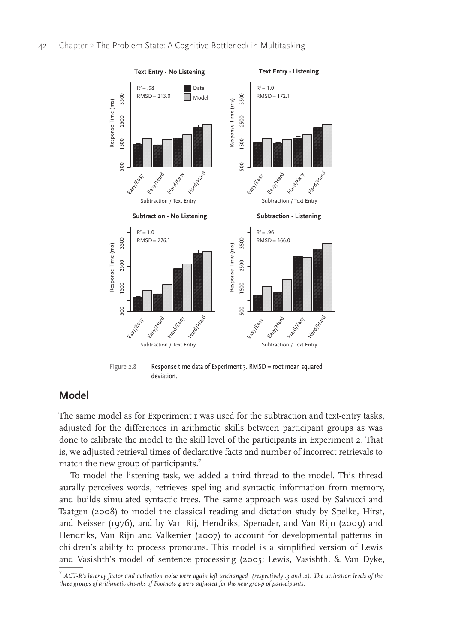

# **Model**

The same model as for Experiment I was used for the subtraction and text-entry tasks, adjusted for the differences in arithmetic skills between participant groups as was done to calibrate the model to the skill level of the participants in Experiment 2. That is, we adjusted retrieval times of declarative facts and number of incorrect retrievals to match the new group of participants.<sup>7</sup>

To model the listening task, we added a third thread to the model. This thread aurally perceives words, retrieves spelling and syntactic information from memory, and builds simulated syntactic trees. The same approach was used by Salvucci and Taatgen (2008) to model the classical reading and dictation study by Spelke, Hirst, and Neisser (1976), and by Van Rij, Hendriks, Spenader, and Van Rijn (2009) and Hendriks, Van Rijn and Valkenier (2007) to account for developmental patterns in children's ability to process pronouns. This model is a simplified version of Lewis and Vasishth's model of sentence processing (2005; Lewis, Vasishth, & Van Dyke,

<sup>7</sup>  *ACT-R's latency factor and activation noise were again left unchanged (respectively .3 and .1). The activation levels of the three groups of arithmetic chunks of Footnote 4 were adjusted for the new group of participants.*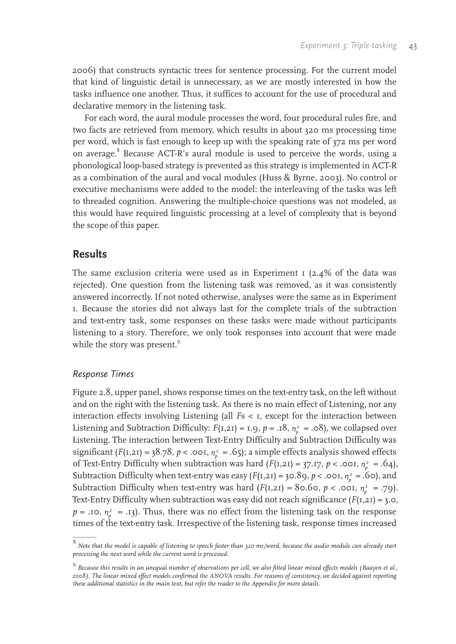2006) that constructs syntactic trees for sentence processing. For the current model that kind of linguistic detail is unnecessary, as we are mostly interested in how the tasks influence one another. Thus, it suffices to account for the use of procedural and declarative memory in the listening task.

For each word, the aural module processes the word, four procedural rules fire, and two facts are retrieved from memory, which results in about 320 ms processing time per word, which is fast enough to keep up with the speaking rate of 372 ms per word on average.<sup>8</sup> Because ACT-R's aural module is used to perceive the words, using a phonological loop-based strategy is prevented as this strategy is implemented in ACT-R as a combination of the aural and vocal modules (Huss & Byrne, 2003). No control or executive mechanisms were added to the model: the interleaving of the tasks was left to threaded cognition. Answering the multiple-choice questions was not modeled, as this would have required linguistic processing at a level of complexity that is beyond the scope of this paper.

## **Results**

The same exclusion criteria were used as in Experiment  $I$  (2.4% of the data was rejected). One question from the listening task was removed, as it was consistently answered incorrectly. If not noted otherwise, analyses were the same as in Experiment 1. Because the stories did not always last for the complete trials of the subtraction and text-entry task, some responses on these tasks were made without participants listening to a story. Therefore, we only took responses into account that were made while the story was present.<sup>9</sup>

#### *Response Times*

Figure 2.8, upper panel, shows response times on the text-entry task, on the left without and on the right with the listening task. As there is no main effect of Listening, nor any interaction effects involving Listening (all *F*s < 1, except for the interaction between Listening and Subtraction Difficulty:  $F(1,21) = 1.9$ ,  $p = .18$ ,  $n_p^2 = .08$ ), we collapsed over Listening. The interaction between Text-Entry Difficulty and Subtraction Difficulty was significant (*F*(1,21) = 38.78, *p* < .001,  $\eta_p^2$  = .65); a simple effects analysis showed effects of Text-Entry Difficulty when subtraction was hard  $(F(1,21) = 37.17, p < .001, \eta_p^2 = .64)$ , Subtraction Difficulty when text-entry was easy  $(F(1,21) = 30.89, p < .001, n_p^2 = .60)$ , and Subtraction Difficulty when text-entry was hard  $(F(1,21) = 80.60, p < .001, n_p^2 = .79)$ . Text-Entry Difficulty when subtraction was easy did not reach significance  $(F(1,21) = 3.0,$  $p =$  .10,  $\eta_p^2 =$  .13). Thus, there was no effect from the listening task on the response times of the text-entry task. Irrespective of the listening task, response times increased

<sup>8</sup>  *Note that the model is capable of listening to speech faster than 320 ms/word, because the audio module can already start processing the next word while the current word is processed.*

<sup>&</sup>lt;sup>9</sup> Because this results in an unequal number of observations per cell, we also fitted linear mixed effects models (Baayen et al., *2008). The linear mixed effect models confirmed the ANOVA results. For reasons of consistency, we decided against reporting these additional statistics in the main text, but refer the reader to the Appendix for more details.*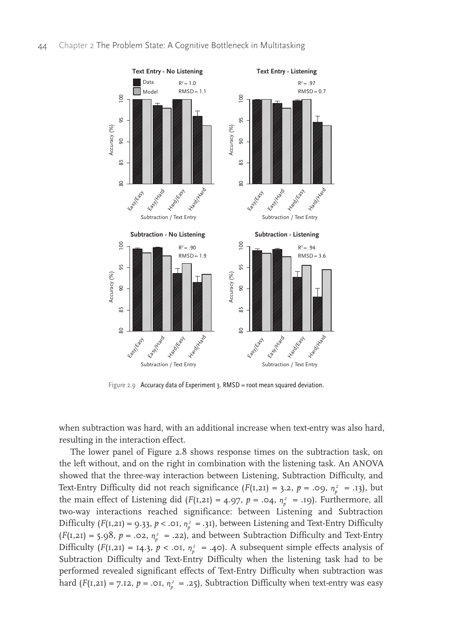

Figure 2.9 Accuracy data of Experiment 3. RMSD = root mean squared deviation.

when subtraction was hard, with an additional increase when text-entry was also hard, resulting in the interaction effect.

The lower panel of Figure 2.8 shows response times on the subtraction task, on the left without, and on the right in combination with the listening task. An ANOVA showed that the three-way interaction between Listening, Subtraction Difficulty, and Text-Entry Difficulty did not reach significance  $(F(1,21) = 3.2, p = .09, \eta_p^2 = .13)$ , but the main effect of Listening did ( $F(1,21) = 4.97$ ,  $p = .04$ ,  $n_p^2 = .19$ ). Furthermore, all two-way interactions reached significance: between Listening and Subtraction Difficulty ( $F(\text{I},2\text{I}) = 9.33$ ,  $p < .0\text{I}$ ,  $\eta_p^2 = .3\text{I}$ ), between Listening and Text-Entry Difficulty  $(F(1,21) = 5.98, p = .02, n_p^2 = .22)$ , and between Subtraction Difficulty and Text-Entry Difficulty  $(F(1,21) = 14.3, p < .01, \eta_p^2 = .40)$ . A subsequent simple effects analysis of Subtraction Difficulty and Text-Entry Difficulty when the listening task had to be performed revealed significant effects of Text-Entry Difficulty when subtraction was hard ( $F(I,2I) = 7.12$ ,  $p = .0I$ ,  $n_p^2 = .25$ ), Subtraction Difficulty when text-entry was easy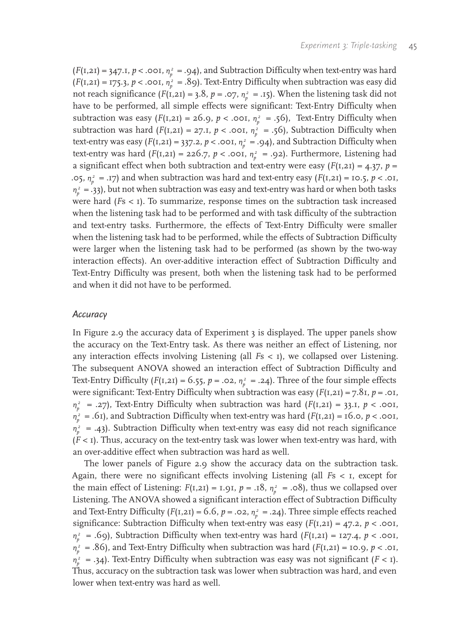$(F(1,21) = 347.1, p < .001, n_p^2 = .94)$ , and Subtraction Difficulty when text-entry was hard  $(F(1,21) = 175.3, p < .001, n_p^2 = .89)$ . Text-Entry Difficulty when subtraction was easy did not reach significance ( $F(1,21) = 3.8$ ,  $p = .07$ ,  $\eta_p^2 = .15$ ). When the listening task did not have to be performed, all simple effects were significant: Text-Entry Difficulty when subtraction was easy ( $F(1,21) = 26.9$ ,  $p < .001$ ,  $n_p^2 = .56$ ), Text-Entry Difficulty when subtraction was hard  $(F(1,21) = 27.1, p < .001, \eta_p^2 = .56)$ , Subtraction Difficulty when text-entry was easy ( $F(1,21) = 337.2$ ,  $p < .$ 001,  $n_p^2 = .94$ ), and Subtraction Difficulty when text-entry was hard  $(F(1,21) = 226.7, p < .001, \eta_p^2 = .92)$ . Furthermore, Listening had a significant effect when both subtraction and text-entry were easy  $(F(1,21) = 4.37, p =$ .05,  $\eta_p^2$  = .17) and when subtraction was hard and text-entry easy ( $F(1,21)$  = 10.5,  $p <$  .01,  $\eta_p^2 = .33$ ), but not when subtraction was easy and text-entry was hard or when both tasks were hard  $(Fs < 1)$ . To summarize, response times on the subtraction task increased when the listening task had to be performed and with task difficulty of the subtraction and text-entry tasks. Furthermore, the effects of Text-Entry Difficulty were smaller when the listening task had to be performed, while the effects of Subtraction Difficulty were larger when the listening task had to be performed (as shown by the two-way interaction effects). An over-additive interaction effect of Subtraction Difficulty and Text-Entry Difficulty was present, both when the listening task had to be performed and when it did not have to be performed.

#### *Accuracy*

In Figure 2.9 the accuracy data of Experiment  $\alpha$  is displayed. The upper panels show the accuracy on the Text-Entry task. As there was neither an effect of Listening, nor any interaction effects involving Listening (all  $Fs < I$ ), we collapsed over Listening. The subsequent ANOVA showed an interaction effect of Subtraction Difficulty and Text-Entry Difficulty ( $F(1,21) = 6.55$ ,  $p = .02$ ,  $n_p^2 = .24$ ). Three of the four simple effects were significant: Text-Entry Difficulty when subtraction was easy  $(F(1,21) = 7.81, p = .01,$  $\eta_p^2$  = .27), Text-Entry Difficulty when subtraction was hard ( $F(1,21)$  = 33.1,  $p < .001$ ,  $\eta_p^2$  = .61), and Subtraction Difficulty when text-entry was hard (*F*(1,21) = 16.0, *p* < .001,  $\eta_p^2$  = .43). Subtraction Difficulty when text-entry was easy did not reach significance  $(F < I)$ . Thus, accuracy on the text-entry task was lower when text-entry was hard, with an over-additive effect when subtraction was hard as well.

The lower panels of Figure 2.9 show the accuracy data on the subtraction task. Again, there were no significant effects involving Listening (all *F*s < 1, except for the main effect of Listening:  $F(1,21) = 1.91$ ,  $p = .18$ ,  $n_p^2 = .08$ ), thus we collapsed over Listening. The ANOVA showed a significant interaction effect of Subtraction Difficulty and Text-Entry Difficulty ( $F(1,21) = 6.6$ ,  $p = .02$ ,  $n_p^2 = .24$ ). Three simple effects reached significance: Subtraction Difficulty when text-entry was easy  $(F(1,21) = 47.2, p < .001,$  $\eta_p^2$  = .69), Subtraction Difficulty when text-entry was hard (*F*(1,21) = 127.4, *p* < .001,  $\eta_p^2$  = .86), and Text-Entry Difficulty when subtraction was hard (*F*(1,21) = 10.9, *p* < .01,  $\eta_p^2$  = .34). Text-Entry Difficulty when subtraction was easy was not significant (*F* < 1). Thus, accuracy on the subtraction task was lower when subtraction was hard, and even lower when text-entry was hard as well.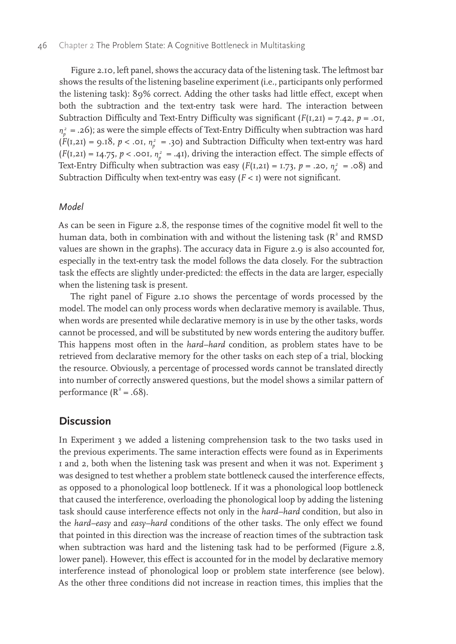#### 46 Chapter 2 The Problem State: A Cognitive Bottleneck in Multitasking

Figure 2.10, left panel, shows the accuracy data of the listening task. The leftmost bar shows the results of the listening baseline experiment (i.e., participants only performed the listening task): 89% correct. Adding the other tasks had little effect, except when both the subtraction and the text-entry task were hard. The interaction between Subtraction Difficulty and Text-Entry Difficulty was significant  $(F(1,21) = 7.42, p = .01,$  $\eta_p^2$  = .26); as were the simple effects of Text-Entry Difficulty when subtraction was hard  $(F(I, 2I) = 9.18, p < .0I, \eta_p^2 = .30)$  and Subtraction Difficulty when text-entry was hard  $(F(1,21) = 14.75, p < .001, \eta_p^2 = .41)$ , driving the interaction effect. The simple effects of Text-Entry Difficulty when subtraction was easy ( $F(1,21) = 1.73$ ,  $p = .20$ ,  $n_p^2 = .08$ ) and Subtraction Difficulty when text-entry was easy  $(F < 1)$  were not significant.

### *Model*

As can be seen in Figure 2.8, the response times of the cognitive model fit well to the human data, both in combination with and without the listening task  $(R^2 \text{ and RMSD})$ values are shown in the graphs). The accuracy data in Figure 2.9 is also accounted for, especially in the text-entry task the model follows the data closely. For the subtraction task the effects are slightly under-predicted: the effects in the data are larger, especially when the listening task is present.

The right panel of Figure 2.10 shows the percentage of words processed by the model. The model can only process words when declarative memory is available. Thus, when words are presented while declarative memory is in use by the other tasks, words cannot be processed, and will be substituted by new words entering the auditory buffer. This happens most often in the *hard–hard* condition, as problem states have to be retrieved from declarative memory for the other tasks on each step of a trial, blocking the resource. Obviously, a percentage of processed words cannot be translated directly into number of correctly answered questions, but the model shows a similar pattern of performance  $(R^2 = .68)$ .

# **Discussion**

In Experiment 3 we added a listening comprehension task to the two tasks used in the previous experiments. The same interaction effects were found as in Experiments 1 and 2, both when the listening task was present and when it was not. Experiment 3 was designed to test whether a problem state bottleneck caused the interference effects, as opposed to a phonological loop bottleneck. If it was a phonological loop bottleneck that caused the interference, overloading the phonological loop by adding the listening task should cause interference effects not only in the *hard–hard* condition, but also in the *hard–easy* and *easy–hard* conditions of the other tasks. The only effect we found that pointed in this direction was the increase of reaction times of the subtraction task when subtraction was hard and the listening task had to be performed (Figure 2.8, lower panel). However, this effect is accounted for in the model by declarative memory interference instead of phonological loop or problem state interference (see below). As the other three conditions did not increase in reaction times, this implies that the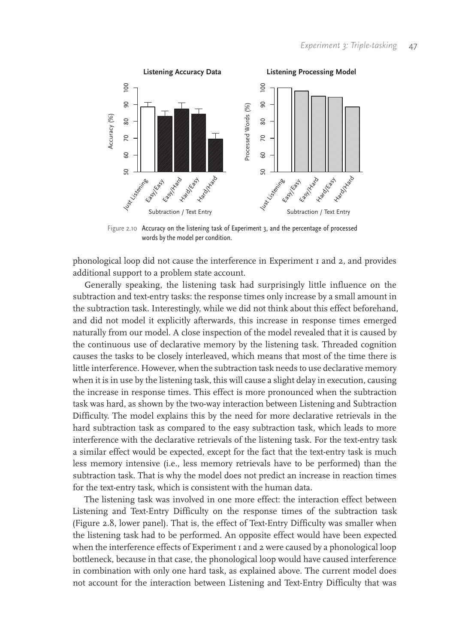

Figure 2.10 Accuracy on the listening task of Experiment 3, and the percentage of processed words by the model per condition.

phonological loop did not cause the interference in Experiment 1 and 2, and provides additional support to a problem state account.

Generally speaking, the listening task had surprisingly little influence on the subtraction and text-entry tasks: the response times only increase by a small amount in the subtraction task. Interestingly, while we did not think about this effect beforehand, and did not model it explicitly afterwards, this increase in response times emerged naturally from our model. A close inspection of the model revealed that it is caused by the continuous use of declarative memory by the listening task. Threaded cognition causes the tasks to be closely interleaved, which means that most of the time there is little interference. However, when the subtraction task needs to use declarative memory when it is in use by the listening task, this will cause a slight delay in execution, causing the increase in response times. This effect is more pronounced when the subtraction task was hard, as shown by the two-way interaction between Listening and Subtraction Difficulty. The model explains this by the need for more declarative retrievals in the hard subtraction task as compared to the easy subtraction task, which leads to more interference with the declarative retrievals of the listening task. For the text-entry task a similar effect would be expected, except for the fact that the text-entry task is much less memory intensive (i.e., less memory retrievals have to be performed) than the subtraction task. That is why the model does not predict an increase in reaction times for the text-entry task, which is consistent with the human data.

The listening task was involved in one more effect: the interaction effect between Listening and Text-Entry Difficulty on the response times of the subtraction task (Figure 2.8, lower panel). That is, the effect of Text-Entry Difficulty was smaller when the listening task had to be performed. An opposite effect would have been expected when the interference effects of Experiment 1 and 2 were caused by a phonological loop bottleneck, because in that case, the phonological loop would have caused interference in combination with only one hard task, as explained above. The current model does not account for the interaction between Listening and Text-Entry Difficulty that was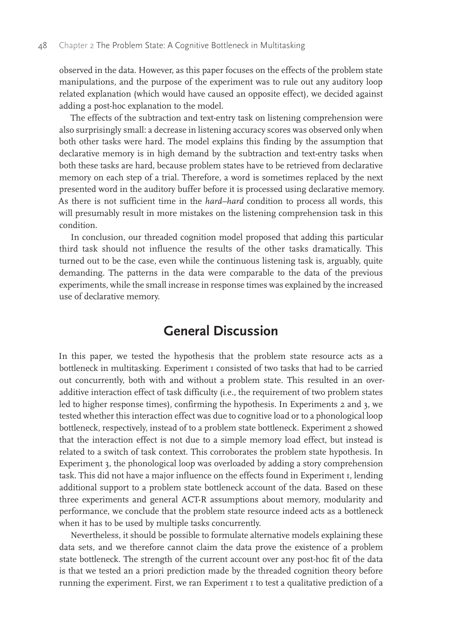observed in the data. However, as this paper focuses on the effects of the problem state manipulations, and the purpose of the experiment was to rule out any auditory loop related explanation (which would have caused an opposite effect), we decided against adding a post-hoc explanation to the model.

The effects of the subtraction and text-entry task on listening comprehension were also surprisingly small: a decrease in listening accuracy scores was observed only when both other tasks were hard. The model explains this finding by the assumption that declarative memory is in high demand by the subtraction and text-entry tasks when both these tasks are hard, because problem states have to be retrieved from declarative memory on each step of a trial. Therefore, a word is sometimes replaced by the next presented word in the auditory buffer before it is processed using declarative memory. As there is not sufficient time in the *hard–hard* condition to process all words, this will presumably result in more mistakes on the listening comprehension task in this condition.

In conclusion, our threaded cognition model proposed that adding this particular third task should not influence the results of the other tasks dramatically. This turned out to be the case, even while the continuous listening task is, arguably, quite demanding. The patterns in the data were comparable to the data of the previous experiments, while the small increase in response times was explained by the increased use of declarative memory.

# **General Discussion**

In this paper, we tested the hypothesis that the problem state resource acts as a bottleneck in multitasking. Experiment 1 consisted of two tasks that had to be carried out concurrently, both with and without a problem state. This resulted in an overadditive interaction effect of task difficulty (i.e., the requirement of two problem states led to higher response times), confirming the hypothesis. In Experiments 2 and 3, we tested whether this interaction effect was due to cognitive load or to a phonological loop bottleneck, respectively, instead of to a problem state bottleneck. Experiment 2 showed that the interaction effect is not due to a simple memory load effect, but instead is related to a switch of task context. This corroborates the problem state hypothesis. In Experiment 3, the phonological loop was overloaded by adding a story comprehension task. This did not have a major influence on the effects found in Experiment 1, lending additional support to a problem state bottleneck account of the data. Based on these three experiments and general ACT-R assumptions about memory, modularity and performance, we conclude that the problem state resource indeed acts as a bottleneck when it has to be used by multiple tasks concurrently.

Nevertheless, it should be possible to formulate alternative models explaining these data sets, and we therefore cannot claim the data prove the existence of a problem state bottleneck. The strength of the current account over any post-hoc fit of the data is that we tested an a priori prediction made by the threaded cognition theory before running the experiment. First, we ran Experiment 1 to test a qualitative prediction of a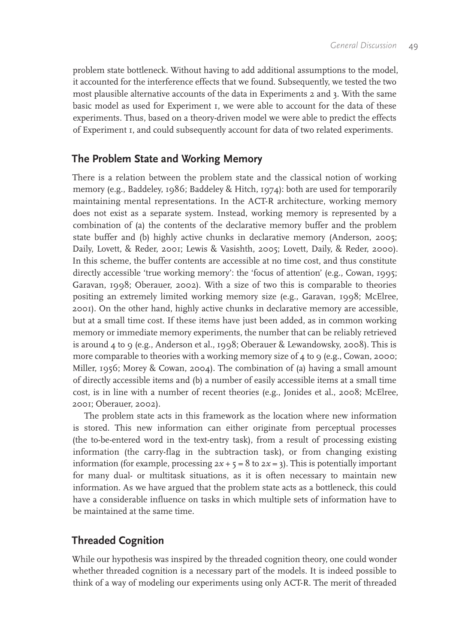problem state bottleneck. Without having to add additional assumptions to the model, it accounted for the interference effects that we found. Subsequently, we tested the two most plausible alternative accounts of the data in Experiments 2 and 3. With the same basic model as used for Experiment 1, we were able to account for the data of these experiments. Thus, based on a theory-driven model we were able to predict the effects of Experiment 1, and could subsequently account for data of two related experiments.

# **The Problem State and Working Memory**

There is a relation between the problem state and the classical notion of working memory (e.g., Baddeley, 1986; Baddeley & Hitch, 1974): both are used for temporarily maintaining mental representations. In the ACT-R architecture, working memory does not exist as a separate system. Instead, working memory is represented by a combination of (a) the contents of the declarative memory buffer and the problem state buffer and (b) highly active chunks in declarative memory (Anderson, 2005; Daily, Lovett, & Reder, 2001; Lewis & Vasishth, 2005; Lovett, Daily, & Reder, 2000). In this scheme, the buffer contents are accessible at no time cost, and thus constitute directly accessible 'true working memory': the 'focus of attention' (e.g., Cowan, 1995; Garavan, 1998; Oberauer, 2002). With a size of two this is comparable to theories positing an extremely limited working memory size (e.g., Garavan, 1998; McElree, 2001). On the other hand, highly active chunks in declarative memory are accessible, but at a small time cost. If these items have just been added, as in common working memory or immediate memory experiments, the number that can be reliably retrieved is around 4 to 9 (e.g., Anderson et al., 1998; Oberauer & Lewandowsky, 2008). This is more comparable to theories with a working memory size of 4 to 9 (e.g., Cowan, 2000; Miller, 1956; Morey & Cowan, 2004). The combination of (a) having a small amount of directly accessible items and (b) a number of easily accessible items at a small time cost, is in line with a number of recent theories (e.g., Jonides et al., 2008; McElree, 2001; Oberauer, 2002).

The problem state acts in this framework as the location where new information is stored. This new information can either originate from perceptual processes (the to-be-entered word in the text-entry task), from a result of processing existing information (the carry-flag in the subtraction task), or from changing existing information (for example, processing  $2x + 5 = 8$  to  $2x = 3$ ). This is potentially important for many dual- or multitask situations, as it is often necessary to maintain new information. As we have argued that the problem state acts as a bottleneck, this could have a considerable influence on tasks in which multiple sets of information have to be maintained at the same time.

# **Threaded Cognition**

While our hypothesis was inspired by the threaded cognition theory, one could wonder whether threaded cognition is a necessary part of the models. It is indeed possible to think of a way of modeling our experiments using only ACT-R. The merit of threaded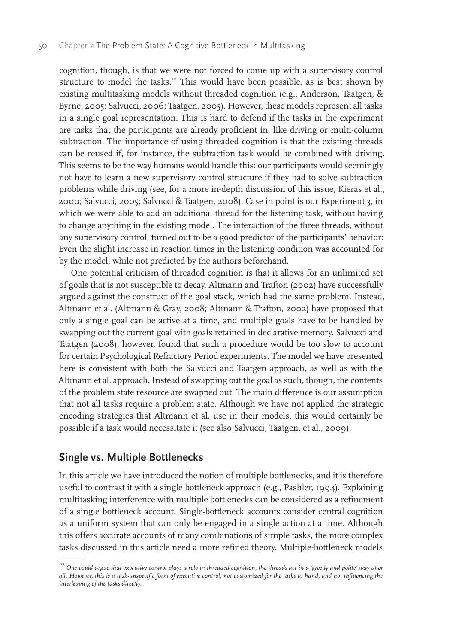#### 50 Chapter 2 The Problem State: A Cognitive Bottleneck in Multitasking

cognition, though, is that we were not forced to come up with a supervisory control structure to model the tasks.<sup>10</sup> This would have been possible, as is best shown by existing multitasking models without threaded cognition (e.g., Anderson, Taatgen, & Byrne, 2005; Salvucci, 2006; Taatgen, 2005). However, these models represent all tasks in a single goal representation. This is hard to defend if the tasks in the experiment are tasks that the participants are already proficient in, like driving or multi-column subtraction. The importance of using threaded cognition is that the existing threads can be reused if, for instance, the subtraction task would be combined with driving. This seems to be the way humans would handle this: our participants would seemingly not have to learn a new supervisory control structure if they had to solve subtraction problems while driving (see, for a more in-depth discussion of this issue, Kieras et al., 2000; Salvucci, 2005; Salvucci & Taatgen, 2008). Case in point is our Experiment 3, in which we were able to add an additional thread for the listening task, without having to change anything in the existing model. The interaction of the three threads, without any supervisory control, turned out to be a good predictor of the participants' behavior: Even the slight increase in reaction times in the listening condition was accounted for by the model, while not predicted by the authors beforehand.

One potential criticism of threaded cognition is that it allows for an unlimited set of goals that is not susceptible to decay. Altmann and Trafton (2002) have successfully argued against the construct of the goal stack, which had the same problem. Instead, Altmann et al. (Altmann & Gray, 2008; Altmann & Trafton, 2002) have proposed that only a single goal can be active at a time, and multiple goals have to be handled by swapping out the current goal with goals retained in declarative memory. Salvucci and Taatgen (2008), however, found that such a procedure would be too slow to account for certain Psychological Refractory Period experiments. The model we have presented here is consistent with both the Salvucci and Taatgen approach, as well as with the Altmann et al. approach. Instead of swapping out the goal as such, though, the contents of the problem state resource are swapped out. The main difference is our assumption that not all tasks require a problem state. Although we have not applied the strategic encoding strategies that Altmann et al. use in their models, this would certainly be possible if a task would necessitate it (see also Salvucci, Taatgen, et al., 2009).

# **Single vs. Multiple Bottlenecks**

In this article we have introduced the notion of multiple bottlenecks, and it is therefore useful to contrast it with a single bottleneck approach (e.g., Pashler, 1994). Explaining multitasking interference with multiple bottlenecks can be considered as a refinement of a single bottleneck account. Single-bottleneck accounts consider central cognition as a uniform system that can only be engaged in a single action at a time. Although this offers accurate accounts of many combinations of simple tasks, the more complex tasks discussed in this article need a more refined theory. Multiple-bottleneck models

<sup>&</sup>lt;sup>10</sup> One could argue that executive control plays a role in threaded cognition, the threads act in a 'greedy and polite' way after *all. However, this is a task-unspecific form of executive control, not customized for the tasks at hand, and not influencing the interleaving of the tasks directly.*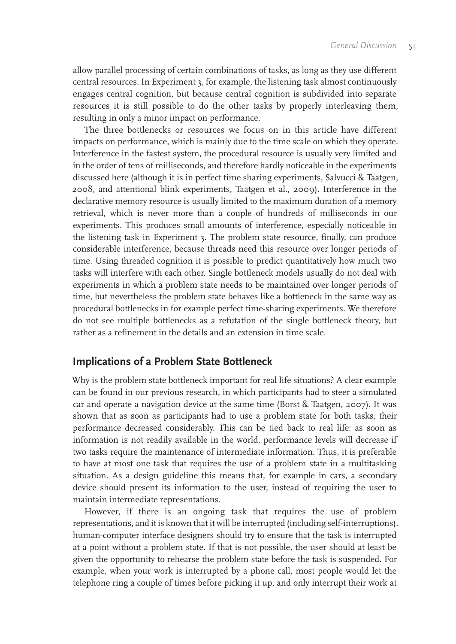allow parallel processing of certain combinations of tasks, as long as they use different central resources. In Experiment 3, for example, the listening task almost continuously engages central cognition, but because central cognition is subdivided into separate resources it is still possible to do the other tasks by properly interleaving them, resulting in only a minor impact on performance.

The three bottlenecks or resources we focus on in this article have different impacts on performance, which is mainly due to the time scale on which they operate. Interference in the fastest system, the procedural resource is usually very limited and in the order of tens of milliseconds, and therefore hardly noticeable in the experiments discussed here (although it is in perfect time sharing experiments, Salvucci & Taatgen, 2008, and attentional blink experiments, Taatgen et al., 2009). Interference in the declarative memory resource is usually limited to the maximum duration of a memory retrieval, which is never more than a couple of hundreds of milliseconds in our experiments. This produces small amounts of interference, especially noticeable in the listening task in Experiment 3. The problem state resource, finally, can produce considerable interference, because threads need this resource over longer periods of time. Using threaded cognition it is possible to predict quantitatively how much two tasks will interfere with each other. Single bottleneck models usually do not deal with experiments in which a problem state needs to be maintained over longer periods of time, but nevertheless the problem state behaves like a bottleneck in the same way as procedural bottlenecks in for example perfect time-sharing experiments. We therefore do not see multiple bottlenecks as a refutation of the single bottleneck theory, but rather as a refinement in the details and an extension in time scale.

# **Implications of a Problem State Bottleneck**

Why is the problem state bottleneck important for real life situations? A clear example can be found in our previous research, in which participants had to steer a simulated car and operate a navigation device at the same time (Borst & Taatgen, 2007). It was shown that as soon as participants had to use a problem state for both tasks, their performance decreased considerably. This can be tied back to real life: as soon as information is not readily available in the world, performance levels will decrease if two tasks require the maintenance of intermediate information. Thus, it is preferable to have at most one task that requires the use of a problem state in a multitasking situation. As a design guideline this means that, for example in cars, a secondary device should present its information to the user, instead of requiring the user to maintain intermediate representations.

However, if there is an ongoing task that requires the use of problem representations, and it is known that it will be interrupted (including self-interruptions), human-computer interface designers should try to ensure that the task is interrupted at a point without a problem state. If that is not possible, the user should at least be given the opportunity to rehearse the problem state before the task is suspended. For example, when your work is interrupted by a phone call, most people would let the telephone ring a couple of times before picking it up, and only interrupt their work at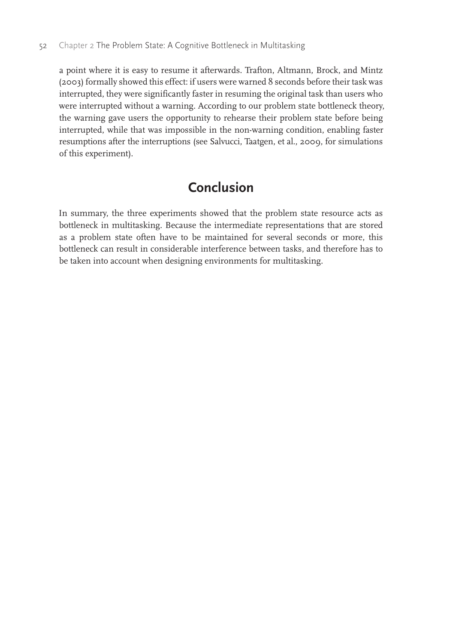a point where it is easy to resume it afterwards. Trafton, Altmann, Brock, and Mintz (2003) formally showed this effect: if users were warned 8 seconds before their task was interrupted, they were significantly faster in resuming the original task than users who were interrupted without a warning. According to our problem state bottleneck theory, the warning gave users the opportunity to rehearse their problem state before being interrupted, while that was impossible in the non-warning condition, enabling faster resumptions after the interruptions (see Salvucci, Taatgen, et al., 2009, for simulations of this experiment).

# **Conclusion**

In summary, the three experiments showed that the problem state resource acts as bottleneck in multitasking. Because the intermediate representations that are stored as a problem state often have to be maintained for several seconds or more, this bottleneck can result in considerable interference between tasks, and therefore has to be taken into account when designing environments for multitasking.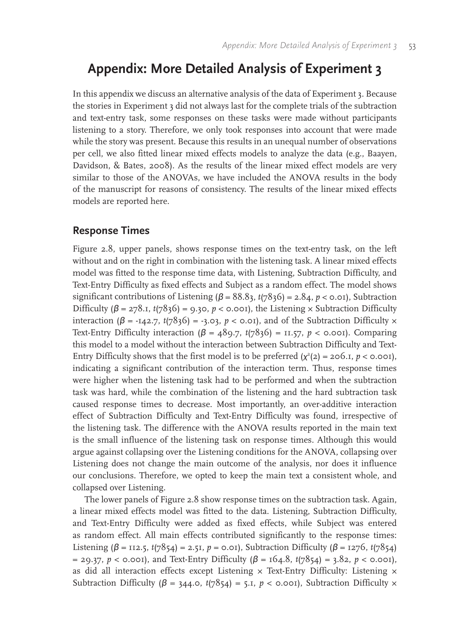# **Appendix: More Detailed Analysis of Experiment 3**

In this appendix we discuss an alternative analysis of the data of Experiment 3. Because the stories in Experiment 3 did not always last for the complete trials of the subtraction and text-entry task, some responses on these tasks were made without participants listening to a story. Therefore, we only took responses into account that were made while the story was present. Because this results in an unequal number of observations per cell, we also fitted linear mixed effects models to analyze the data (e.g., Baayen, Davidson, & Bates, 2008). As the results of the linear mixed effect models are very similar to those of the ANOVAs, we have included the ANOVA results in the body of the manuscript for reasons of consistency. The results of the linear mixed effects models are reported here.

## **Response Times**

Figure 2.8, upper panels, shows response times on the text-entry task, on the left without and on the right in combination with the listening task. A linear mixed effects model was fitted to the response time data, with Listening, Subtraction Difficulty, and Text-Entry Difficulty as fixed effects and Subject as a random effect. The model shows significant contributions of Listening ( $\beta$  = 88.83,  $t$ (7836) = 2.84,  $p$  < 0.01), Subtraction Difficulty ( $\beta$  = 278.1, *t*(7836) = 9.30, *p* < 0.001), the Listening × Subtraction Difficulty interaction (β = -142.7,  $t(7836)$  = -3.03,  $p <$  0.01), and of the Subtraction Difficulty  $\times$ Text-Entry Difficulty interaction  $(\beta = 489.7, t(7836) = 11.57, p < 0.001)$ . Comparing this model to a model without the interaction between Subtraction Difficulty and Text-Entry Difficulty shows that the first model is to be preferred  $(\chi^2(2) = 206 \text{.} \text{I}, p < 0.001)$ , indicating a significant contribution of the interaction term. Thus, response times were higher when the listening task had to be performed and when the subtraction task was hard, while the combination of the listening and the hard subtraction task caused response times to decrease. Most importantly, an over-additive interaction effect of Subtraction Difficulty and Text-Entry Difficulty was found, irrespective of the listening task. The difference with the ANOVA results reported in the main text is the small influence of the listening task on response times. Although this would argue against collapsing over the Listening conditions for the ANOVA, collapsing over Listening does not change the main outcome of the analysis, nor does it influence our conclusions. Therefore, we opted to keep the main text a consistent whole, and collapsed over Listening.

The lower panels of Figure 2.8 show response times on the subtraction task. Again, a linear mixed effects model was fitted to the data. Listening, Subtraction Difficulty, and Text-Entry Difficulty were added as fixed effects, while Subject was entered as random effect. All main effects contributed significantly to the response times: Listening (β = 112.5, *t*(7854) = 2.51, *p* = 0.01), Subtraction Difficulty (β = 1276, *t*(7854) = 29.37, *p* < 0.001), and Text-Entry Difficulty (β = 164.8,  $t(7854)$  = 3.82, *p* < 0.001), as did all interaction effects except Listening × Text-Entry Difficulty: Listening × Subtraction Difficulty ( $β = 344.0$ ,  $t(7854) = 5.1$ ,  $p < 0.001$ ), Subtraction Difficulty  $×$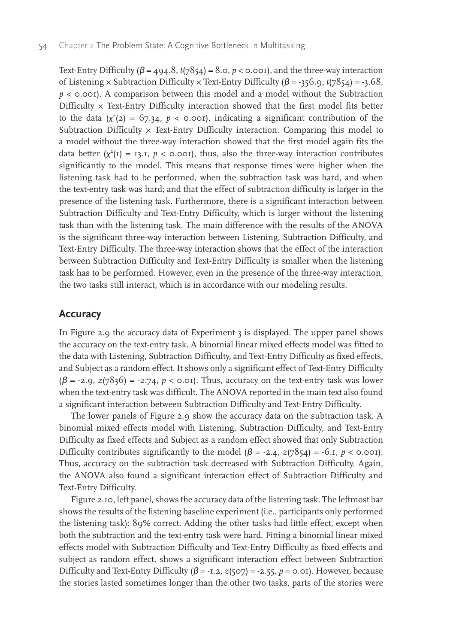Text-Entry Difficulty  $(\beta = 494.8, t/7854) = 8.0, p < 0.001$ , and the three-way interaction of Listening ∑ Subtraction Difficulty ∑ Text-Entry Difficulty (β = -356.9, *t*(7854) = -3.68, *p* < 0.001). A comparison between this model and a model without the Subtraction Difficulty × Text-Entry Difficulty interaction showed that the first model fits better to the data  $(x^2(2) = 67.34, p < 0.001)$ , indicating a significant contribution of the Subtraction Difficulty  $\times$  Text-Entry Difficulty interaction. Comparing this model to a model without the three-way interaction showed that the first model again fits the data better  $(x^2(1) = 13.1, p < \text{o.oor1})$ , thus, also the three-way interaction contributes significantly to the model. This means that response times were higher when the listening task had to be performed, when the subtraction task was hard, and when the text-entry task was hard; and that the effect of subtraction difficulty is larger in the presence of the listening task. Furthermore, there is a significant interaction between Subtraction Difficulty and Text-Entry Difficulty, which is larger without the listening task than with the listening task. The main difference with the results of the ANOVA is the significant three-way interaction between Listening, Subtraction Difficulty, and Text-Entry Difficulty. The three-way interaction shows that the effect of the interaction between Subtraction Difficulty and Text-Entry Difficulty is smaller when the listening task has to be performed. However, even in the presence of the three-way interaction, the two tasks still interact, which is in accordance with our modeling results.

#### **Accuracy**

In Figure 2.9 the accuracy data of Experiment 3 is displayed. The upper panel shows the accuracy on the text-entry task. A binomial linear mixed effects model was fitted to the data with Listening, Subtraction Difficulty, and Text-Entry Difficulty as fixed effects, and Subject as a random effect. It shows only a significant effect of Text-Entry Difficulty  $(\beta = -2.9, z(7836) = -2.74, p < 0.01)$ . Thus, accuracy on the text-entry task was lower when the text-entry task was difficult. The ANOVA reported in the main text also found a significant interaction between Subtraction Difficulty and Text-Entry Difficulty.

The lower panels of Figure 2.9 show the accuracy data on the subtraction task. A binomial mixed effects model with Listening, Subtraction Difficulty, and Text-Entry Difficulty as fixed effects and Subject as a random effect showed that only Subtraction Difficulty contributes significantly to the model  $(\beta = -2.4, z(7854) = -6.1, p < 0.001)$ . Thus, accuracy on the subtraction task decreased with Subtraction Difficulty. Again, the ANOVA also found a significant interaction effect of Subtraction Difficulty and Text-Entry Difficulty.

Figure 2.10, left panel, shows the accuracy data of the listening task. The leftmost bar shows the results of the listening baseline experiment (i.e., participants only performed the listening task): 89% correct. Adding the other tasks had little effect, except when both the subtraction and the text-entry task were hard. Fitting a binomial linear mixed effects model with Subtraction Difficulty and Text-Entry Difficulty as fixed effects and subject as random effect, shows a significant interaction effect between Subtraction Difficulty and Text-Entry Difficulty  $(\beta = -1.2, z(507) = -2.55, p = 0.01)$ . However, because the stories lasted sometimes longer than the other two tasks, parts of the stories were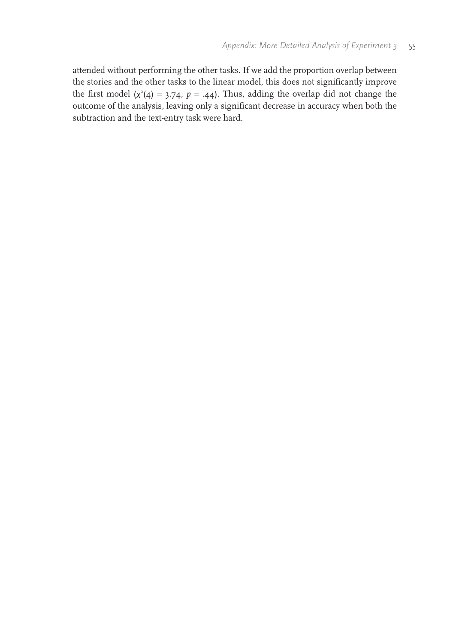attended without performing the other tasks. If we add the proportion overlap between the stories and the other tasks to the linear model, this does not significantly improve the first model  $(x^2(4) = 3.74, p = .44)$ . Thus, adding the overlap did not change the outcome of the analysis, leaving only a significant decrease in accuracy when both the subtraction and the text-entry task were hard.